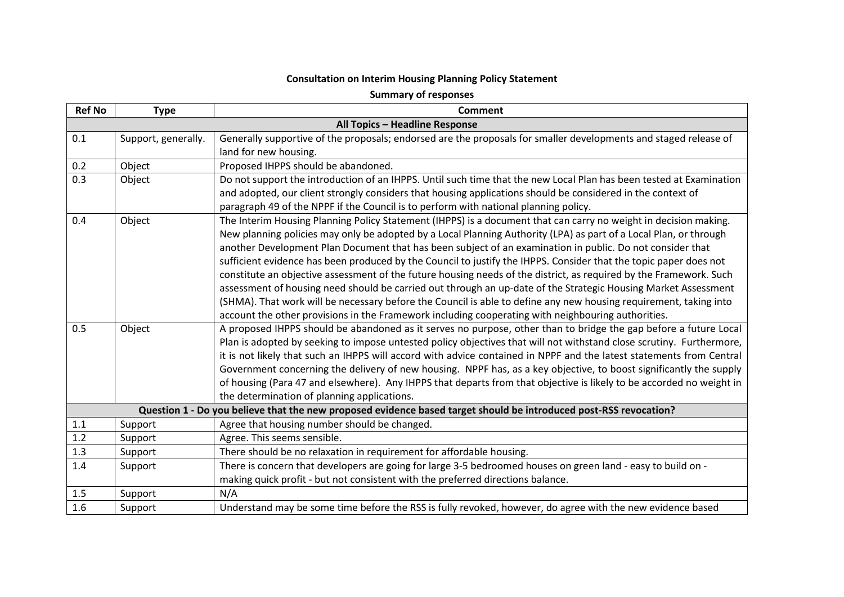## **Consultation on Interim Housing Planning Policy Statement**

**Summary of responses**

| <b>Ref No</b> | <b>Type</b>                    | <b>Comment</b>                                                                                                       |  |  |
|---------------|--------------------------------|----------------------------------------------------------------------------------------------------------------------|--|--|
|               | All Topics - Headline Response |                                                                                                                      |  |  |
| 0.1           | Support, generally.            | Generally supportive of the proposals; endorsed are the proposals for smaller developments and staged release of     |  |  |
|               |                                | land for new housing.                                                                                                |  |  |
| 0.2           | Object                         | Proposed IHPPS should be abandoned.                                                                                  |  |  |
| 0.3           | Object                         | Do not support the introduction of an IHPPS. Until such time that the new Local Plan has been tested at Examination  |  |  |
|               |                                | and adopted, our client strongly considers that housing applications should be considered in the context of          |  |  |
|               |                                | paragraph 49 of the NPPF if the Council is to perform with national planning policy.                                 |  |  |
| 0.4           | Object                         | The Interim Housing Planning Policy Statement (IHPPS) is a document that can carry no weight in decision making.     |  |  |
|               |                                | New planning policies may only be adopted by a Local Planning Authority (LPA) as part of a Local Plan, or through    |  |  |
|               |                                | another Development Plan Document that has been subject of an examination in public. Do not consider that            |  |  |
|               |                                | sufficient evidence has been produced by the Council to justify the IHPPS. Consider that the topic paper does not    |  |  |
|               |                                | constitute an objective assessment of the future housing needs of the district, as required by the Framework. Such   |  |  |
|               |                                | assessment of housing need should be carried out through an up-date of the Strategic Housing Market Assessment       |  |  |
|               |                                | (SHMA). That work will be necessary before the Council is able to define any new housing requirement, taking into    |  |  |
|               |                                | account the other provisions in the Framework including cooperating with neighbouring authorities.                   |  |  |
| 0.5           | Object                         | A proposed IHPPS should be abandoned as it serves no purpose, other than to bridge the gap before a future Local     |  |  |
|               |                                | Plan is adopted by seeking to impose untested policy objectives that will not withstand close scrutiny. Furthermore, |  |  |
|               |                                | it is not likely that such an IHPPS will accord with advice contained in NPPF and the latest statements from Central |  |  |
|               |                                | Government concerning the delivery of new housing. NPPF has, as a key objective, to boost significantly the supply   |  |  |
|               |                                | of housing (Para 47 and elsewhere). Any IHPPS that departs from that objective is likely to be accorded no weight in |  |  |
|               |                                | the determination of planning applications.                                                                          |  |  |
|               |                                | Question 1 - Do you believe that the new proposed evidence based target should be introduced post-RSS revocation?    |  |  |
| 1.1           | Support                        | Agree that housing number should be changed.                                                                         |  |  |
| 1.2           | Support                        | Agree. This seems sensible.                                                                                          |  |  |
| 1.3           | Support                        | There should be no relaxation in requirement for affordable housing.                                                 |  |  |
| 1.4           | Support                        | There is concern that developers are going for large 3-5 bedroomed houses on green land - easy to build on -         |  |  |
|               |                                | making quick profit - but not consistent with the preferred directions balance.                                      |  |  |
| 1.5           | Support                        | N/A                                                                                                                  |  |  |
| 1.6           | Support                        | Understand may be some time before the RSS is fully revoked, however, do agree with the new evidence based           |  |  |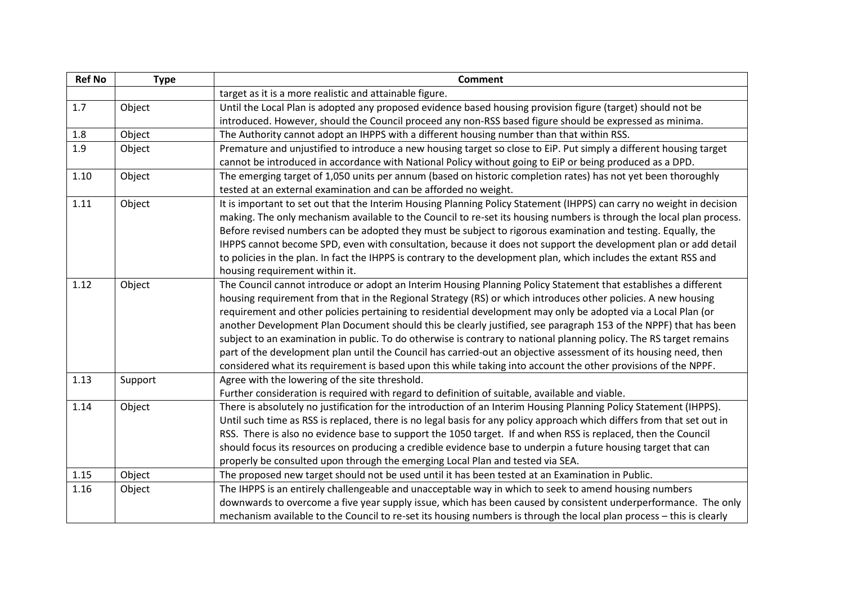| <b>Ref No</b> | <b>Type</b> | <b>Comment</b>                                                                                                         |
|---------------|-------------|------------------------------------------------------------------------------------------------------------------------|
|               |             | target as it is a more realistic and attainable figure.                                                                |
| 1.7           | Object      | Until the Local Plan is adopted any proposed evidence based housing provision figure (target) should not be            |
|               |             | introduced. However, should the Council proceed any non-RSS based figure should be expressed as minima.                |
| 1.8           | Object      | The Authority cannot adopt an IHPPS with a different housing number than that within RSS.                              |
| 1.9           | Object      | Premature and unjustified to introduce a new housing target so close to EiP. Put simply a different housing target     |
|               |             | cannot be introduced in accordance with National Policy without going to EiP or being produced as a DPD.               |
| 1.10          | Object      | The emerging target of 1,050 units per annum (based on historic completion rates) has not yet been thoroughly          |
|               |             | tested at an external examination and can be afforded no weight.                                                       |
| 1.11          | Object      | It is important to set out that the Interim Housing Planning Policy Statement (IHPPS) can carry no weight in decision  |
|               |             | making. The only mechanism available to the Council to re-set its housing numbers is through the local plan process.   |
|               |             | Before revised numbers can be adopted they must be subject to rigorous examination and testing. Equally, the           |
|               |             | IHPPS cannot become SPD, even with consultation, because it does not support the development plan or add detail        |
|               |             | to policies in the plan. In fact the IHPPS is contrary to the development plan, which includes the extant RSS and      |
|               |             | housing requirement within it.                                                                                         |
| 1.12          | Object      | The Council cannot introduce or adopt an Interim Housing Planning Policy Statement that establishes a different        |
|               |             | housing requirement from that in the Regional Strategy (RS) or which introduces other policies. A new housing          |
|               |             | requirement and other policies pertaining to residential development may only be adopted via a Local Plan (or          |
|               |             | another Development Plan Document should this be clearly justified, see paragraph 153 of the NPPF) that has been       |
|               |             | subject to an examination in public. To do otherwise is contrary to national planning policy. The RS target remains    |
|               |             | part of the development plan until the Council has carried-out an objective assessment of its housing need, then       |
|               |             | considered what its requirement is based upon this while taking into account the other provisions of the NPPF.         |
| 1.13          | Support     | Agree with the lowering of the site threshold.                                                                         |
|               |             | Further consideration is required with regard to definition of suitable, available and viable.                         |
| 1.14          | Object      | There is absolutely no justification for the introduction of an Interim Housing Planning Policy Statement (IHPPS).     |
|               |             | Until such time as RSS is replaced, there is no legal basis for any policy approach which differs from that set out in |
|               |             | RSS. There is also no evidence base to support the 1050 target. If and when RSS is replaced, then the Council          |
|               |             | should focus its resources on producing a credible evidence base to underpin a future housing target that can          |
|               |             | properly be consulted upon through the emerging Local Plan and tested via SEA.                                         |
| 1.15          | Object      | The proposed new target should not be used until it has been tested at an Examination in Public.                       |
| 1.16          | Object      | The IHPPS is an entirely challengeable and unacceptable way in which to seek to amend housing numbers                  |
|               |             | downwards to overcome a five year supply issue, which has been caused by consistent underperformance. The only         |
|               |             | mechanism available to the Council to re-set its housing numbers is through the local plan process - this is clearly   |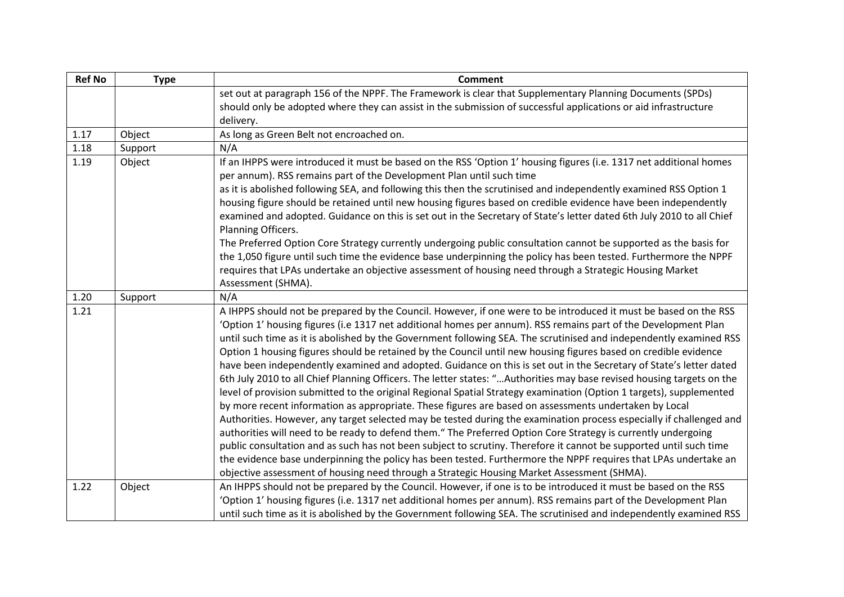| <b>Ref No</b> | <b>Type</b> | <b>Comment</b>                                                                                                                                                                                                                                                                                                                                                                                                                                                                                                                                                                                                                                                                                                                                                                                                                                                                                                                                                                                                                                                                                                                                                                                                                                                                                                                                                                                                                                                                                                                            |
|---------------|-------------|-------------------------------------------------------------------------------------------------------------------------------------------------------------------------------------------------------------------------------------------------------------------------------------------------------------------------------------------------------------------------------------------------------------------------------------------------------------------------------------------------------------------------------------------------------------------------------------------------------------------------------------------------------------------------------------------------------------------------------------------------------------------------------------------------------------------------------------------------------------------------------------------------------------------------------------------------------------------------------------------------------------------------------------------------------------------------------------------------------------------------------------------------------------------------------------------------------------------------------------------------------------------------------------------------------------------------------------------------------------------------------------------------------------------------------------------------------------------------------------------------------------------------------------------|
|               |             | set out at paragraph 156 of the NPPF. The Framework is clear that Supplementary Planning Documents (SPDs)                                                                                                                                                                                                                                                                                                                                                                                                                                                                                                                                                                                                                                                                                                                                                                                                                                                                                                                                                                                                                                                                                                                                                                                                                                                                                                                                                                                                                                 |
|               |             | should only be adopted where they can assist in the submission of successful applications or aid infrastructure                                                                                                                                                                                                                                                                                                                                                                                                                                                                                                                                                                                                                                                                                                                                                                                                                                                                                                                                                                                                                                                                                                                                                                                                                                                                                                                                                                                                                           |
|               |             | delivery.                                                                                                                                                                                                                                                                                                                                                                                                                                                                                                                                                                                                                                                                                                                                                                                                                                                                                                                                                                                                                                                                                                                                                                                                                                                                                                                                                                                                                                                                                                                                 |
| 1.17          | Object      | As long as Green Belt not encroached on.                                                                                                                                                                                                                                                                                                                                                                                                                                                                                                                                                                                                                                                                                                                                                                                                                                                                                                                                                                                                                                                                                                                                                                                                                                                                                                                                                                                                                                                                                                  |
| 1.18          | Support     | N/A                                                                                                                                                                                                                                                                                                                                                                                                                                                                                                                                                                                                                                                                                                                                                                                                                                                                                                                                                                                                                                                                                                                                                                                                                                                                                                                                                                                                                                                                                                                                       |
| 1.19          | Object      | If an IHPPS were introduced it must be based on the RSS 'Option 1' housing figures (i.e. 1317 net additional homes                                                                                                                                                                                                                                                                                                                                                                                                                                                                                                                                                                                                                                                                                                                                                                                                                                                                                                                                                                                                                                                                                                                                                                                                                                                                                                                                                                                                                        |
|               |             | per annum). RSS remains part of the Development Plan until such time                                                                                                                                                                                                                                                                                                                                                                                                                                                                                                                                                                                                                                                                                                                                                                                                                                                                                                                                                                                                                                                                                                                                                                                                                                                                                                                                                                                                                                                                      |
|               |             | as it is abolished following SEA, and following this then the scrutinised and independently examined RSS Option 1                                                                                                                                                                                                                                                                                                                                                                                                                                                                                                                                                                                                                                                                                                                                                                                                                                                                                                                                                                                                                                                                                                                                                                                                                                                                                                                                                                                                                         |
|               |             | housing figure should be retained until new housing figures based on credible evidence have been independently<br>examined and adopted. Guidance on this is set out in the Secretary of State's letter dated 6th July 2010 to all Chief                                                                                                                                                                                                                                                                                                                                                                                                                                                                                                                                                                                                                                                                                                                                                                                                                                                                                                                                                                                                                                                                                                                                                                                                                                                                                                   |
|               |             | Planning Officers.                                                                                                                                                                                                                                                                                                                                                                                                                                                                                                                                                                                                                                                                                                                                                                                                                                                                                                                                                                                                                                                                                                                                                                                                                                                                                                                                                                                                                                                                                                                        |
|               |             | The Preferred Option Core Strategy currently undergoing public consultation cannot be supported as the basis for                                                                                                                                                                                                                                                                                                                                                                                                                                                                                                                                                                                                                                                                                                                                                                                                                                                                                                                                                                                                                                                                                                                                                                                                                                                                                                                                                                                                                          |
|               |             | the 1,050 figure until such time the evidence base underpinning the policy has been tested. Furthermore the NPPF                                                                                                                                                                                                                                                                                                                                                                                                                                                                                                                                                                                                                                                                                                                                                                                                                                                                                                                                                                                                                                                                                                                                                                                                                                                                                                                                                                                                                          |
|               |             | requires that LPAs undertake an objective assessment of housing need through a Strategic Housing Market                                                                                                                                                                                                                                                                                                                                                                                                                                                                                                                                                                                                                                                                                                                                                                                                                                                                                                                                                                                                                                                                                                                                                                                                                                                                                                                                                                                                                                   |
|               |             | Assessment (SHMA).                                                                                                                                                                                                                                                                                                                                                                                                                                                                                                                                                                                                                                                                                                                                                                                                                                                                                                                                                                                                                                                                                                                                                                                                                                                                                                                                                                                                                                                                                                                        |
| 1.20          | Support     | N/A                                                                                                                                                                                                                                                                                                                                                                                                                                                                                                                                                                                                                                                                                                                                                                                                                                                                                                                                                                                                                                                                                                                                                                                                                                                                                                                                                                                                                                                                                                                                       |
| 1.21          |             | A IHPPS should not be prepared by the Council. However, if one were to be introduced it must be based on the RSS<br>'Option 1' housing figures (i.e 1317 net additional homes per annum). RSS remains part of the Development Plan<br>until such time as it is abolished by the Government following SEA. The scrutinised and independently examined RSS<br>Option 1 housing figures should be retained by the Council until new housing figures based on credible evidence<br>have been independently examined and adopted. Guidance on this is set out in the Secretary of State's letter dated<br>6th July 2010 to all Chief Planning Officers. The letter states: "Authorities may base revised housing targets on the<br>level of provision submitted to the original Regional Spatial Strategy examination (Option 1 targets), supplemented<br>by more recent information as appropriate. These figures are based on assessments undertaken by Local<br>Authorities. However, any target selected may be tested during the examination process especially if challenged and<br>authorities will need to be ready to defend them." The Preferred Option Core Strategy is currently undergoing<br>public consultation and as such has not been subject to scrutiny. Therefore it cannot be supported until such time<br>the evidence base underpinning the policy has been tested. Furthermore the NPPF requires that LPAs undertake an<br>objective assessment of housing need through a Strategic Housing Market Assessment (SHMA). |
| 1.22          | Object      | An IHPPS should not be prepared by the Council. However, if one is to be introduced it must be based on the RSS                                                                                                                                                                                                                                                                                                                                                                                                                                                                                                                                                                                                                                                                                                                                                                                                                                                                                                                                                                                                                                                                                                                                                                                                                                                                                                                                                                                                                           |
|               |             | 'Option 1' housing figures (i.e. 1317 net additional homes per annum). RSS remains part of the Development Plan                                                                                                                                                                                                                                                                                                                                                                                                                                                                                                                                                                                                                                                                                                                                                                                                                                                                                                                                                                                                                                                                                                                                                                                                                                                                                                                                                                                                                           |
|               |             | until such time as it is abolished by the Government following SEA. The scrutinised and independently examined RSS                                                                                                                                                                                                                                                                                                                                                                                                                                                                                                                                                                                                                                                                                                                                                                                                                                                                                                                                                                                                                                                                                                                                                                                                                                                                                                                                                                                                                        |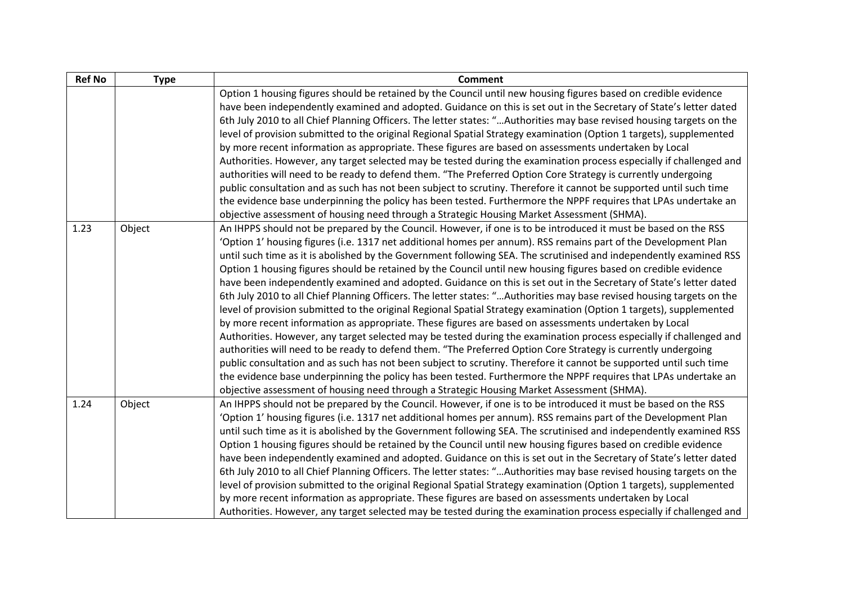| <b>Ref No</b> | <b>Type</b> | <b>Comment</b>                                                                                                        |
|---------------|-------------|-----------------------------------------------------------------------------------------------------------------------|
|               |             | Option 1 housing figures should be retained by the Council until new housing figures based on credible evidence       |
|               |             | have been independently examined and adopted. Guidance on this is set out in the Secretary of State's letter dated    |
|               |             | 6th July 2010 to all Chief Planning Officers. The letter states: "Authorities may base revised housing targets on the |
|               |             | level of provision submitted to the original Regional Spatial Strategy examination (Option 1 targets), supplemented   |
|               |             | by more recent information as appropriate. These figures are based on assessments undertaken by Local                 |
|               |             | Authorities. However, any target selected may be tested during the examination process especially if challenged and   |
|               |             | authorities will need to be ready to defend them. "The Preferred Option Core Strategy is currently undergoing         |
|               |             | public consultation and as such has not been subject to scrutiny. Therefore it cannot be supported until such time    |
|               |             | the evidence base underpinning the policy has been tested. Furthermore the NPPF requires that LPAs undertake an       |
|               |             | objective assessment of housing need through a Strategic Housing Market Assessment (SHMA).                            |
| 1.23          | Object      | An IHPPS should not be prepared by the Council. However, if one is to be introduced it must be based on the RSS       |
|               |             | 'Option 1' housing figures (i.e. 1317 net additional homes per annum). RSS remains part of the Development Plan       |
|               |             | until such time as it is abolished by the Government following SEA. The scrutinised and independently examined RSS    |
|               |             | Option 1 housing figures should be retained by the Council until new housing figures based on credible evidence       |
|               |             | have been independently examined and adopted. Guidance on this is set out in the Secretary of State's letter dated    |
|               |             | 6th July 2010 to all Chief Planning Officers. The letter states: "Authorities may base revised housing targets on the |
|               |             | level of provision submitted to the original Regional Spatial Strategy examination (Option 1 targets), supplemented   |
|               |             | by more recent information as appropriate. These figures are based on assessments undertaken by Local                 |
|               |             | Authorities. However, any target selected may be tested during the examination process especially if challenged and   |
|               |             | authorities will need to be ready to defend them. "The Preferred Option Core Strategy is currently undergoing         |
|               |             | public consultation and as such has not been subject to scrutiny. Therefore it cannot be supported until such time    |
|               |             | the evidence base underpinning the policy has been tested. Furthermore the NPPF requires that LPAs undertake an       |
|               |             | objective assessment of housing need through a Strategic Housing Market Assessment (SHMA).                            |
| 1.24          | Object      | An IHPPS should not be prepared by the Council. However, if one is to be introduced it must be based on the RSS       |
|               |             | 'Option 1' housing figures (i.e. 1317 net additional homes per annum). RSS remains part of the Development Plan       |
|               |             | until such time as it is abolished by the Government following SEA. The scrutinised and independently examined RSS    |
|               |             | Option 1 housing figures should be retained by the Council until new housing figures based on credible evidence       |
|               |             | have been independently examined and adopted. Guidance on this is set out in the Secretary of State's letter dated    |
|               |             | 6th July 2010 to all Chief Planning Officers. The letter states: "Authorities may base revised housing targets on the |
|               |             | level of provision submitted to the original Regional Spatial Strategy examination (Option 1 targets), supplemented   |
|               |             | by more recent information as appropriate. These figures are based on assessments undertaken by Local                 |
|               |             | Authorities. However, any target selected may be tested during the examination process especially if challenged and   |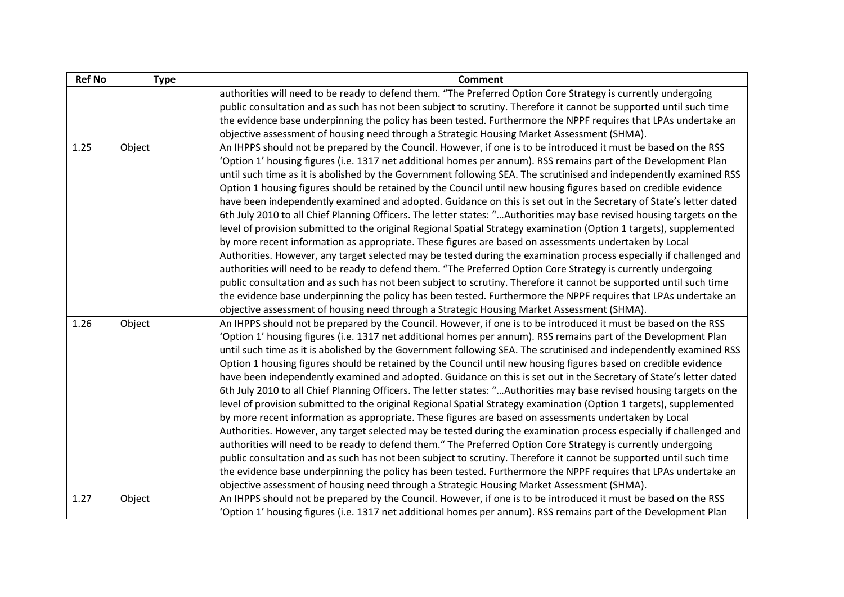| <b>Ref No</b> | <b>Type</b> | <b>Comment</b>                                                                                                        |
|---------------|-------------|-----------------------------------------------------------------------------------------------------------------------|
|               |             | authorities will need to be ready to defend them. "The Preferred Option Core Strategy is currently undergoing         |
|               |             | public consultation and as such has not been subject to scrutiny. Therefore it cannot be supported until such time    |
|               |             | the evidence base underpinning the policy has been tested. Furthermore the NPPF requires that LPAs undertake an       |
|               |             | objective assessment of housing need through a Strategic Housing Market Assessment (SHMA).                            |
| 1.25          | Object      | An IHPPS should not be prepared by the Council. However, if one is to be introduced it must be based on the RSS       |
|               |             | 'Option 1' housing figures (i.e. 1317 net additional homes per annum). RSS remains part of the Development Plan       |
|               |             | until such time as it is abolished by the Government following SEA. The scrutinised and independently examined RSS    |
|               |             | Option 1 housing figures should be retained by the Council until new housing figures based on credible evidence       |
|               |             | have been independently examined and adopted. Guidance on this is set out in the Secretary of State's letter dated    |
|               |             | 6th July 2010 to all Chief Planning Officers. The letter states: "Authorities may base revised housing targets on the |
|               |             | level of provision submitted to the original Regional Spatial Strategy examination (Option 1 targets), supplemented   |
|               |             | by more recent information as appropriate. These figures are based on assessments undertaken by Local                 |
|               |             | Authorities. However, any target selected may be tested during the examination process especially if challenged and   |
|               |             | authorities will need to be ready to defend them. "The Preferred Option Core Strategy is currently undergoing         |
|               |             | public consultation and as such has not been subject to scrutiny. Therefore it cannot be supported until such time    |
|               |             | the evidence base underpinning the policy has been tested. Furthermore the NPPF requires that LPAs undertake an       |
|               |             | objective assessment of housing need through a Strategic Housing Market Assessment (SHMA).                            |
| 1.26          | Object      | An IHPPS should not be prepared by the Council. However, if one is to be introduced it must be based on the RSS       |
|               |             | 'Option 1' housing figures (i.e. 1317 net additional homes per annum). RSS remains part of the Development Plan       |
|               |             | until such time as it is abolished by the Government following SEA. The scrutinised and independently examined RSS    |
|               |             | Option 1 housing figures should be retained by the Council until new housing figures based on credible evidence       |
|               |             | have been independently examined and adopted. Guidance on this is set out in the Secretary of State's letter dated    |
|               |             | 6th July 2010 to all Chief Planning Officers. The letter states: "Authorities may base revised housing targets on the |
|               |             | level of provision submitted to the original Regional Spatial Strategy examination (Option 1 targets), supplemented   |
|               |             | by more recent information as appropriate. These figures are based on assessments undertaken by Local                 |
|               |             | Authorities. However, any target selected may be tested during the examination process especially if challenged and   |
|               |             | authorities will need to be ready to defend them." The Preferred Option Core Strategy is currently undergoing         |
|               |             | public consultation and as such has not been subject to scrutiny. Therefore it cannot be supported until such time    |
|               |             | the evidence base underpinning the policy has been tested. Furthermore the NPPF requires that LPAs undertake an       |
|               |             | objective assessment of housing need through a Strategic Housing Market Assessment (SHMA).                            |
| 1.27          | Object      | An IHPPS should not be prepared by the Council. However, if one is to be introduced it must be based on the RSS       |
|               |             | 'Option 1' housing figures (i.e. 1317 net additional homes per annum). RSS remains part of the Development Plan       |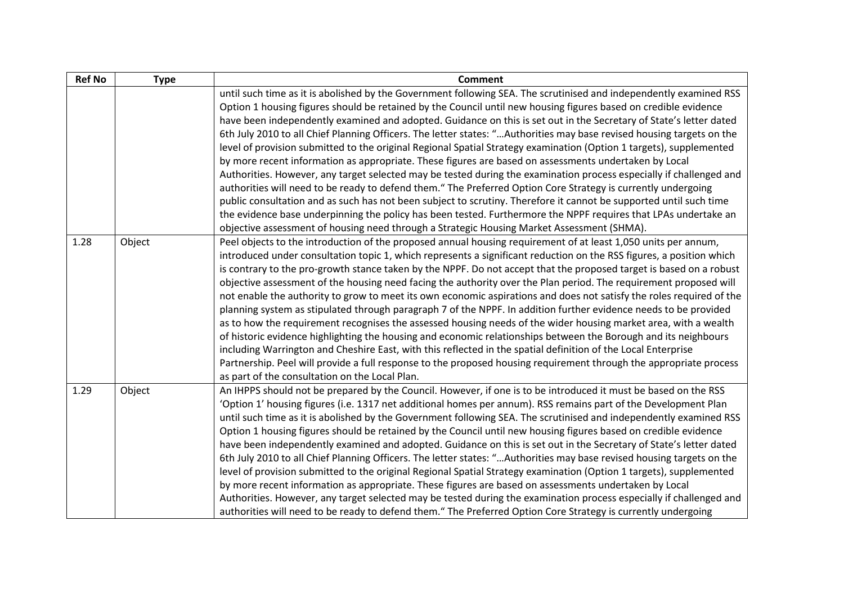| <b>Ref No</b> | <b>Type</b> | <b>Comment</b>                                                                                                                                                                                                                                                                                                                                                                                                                                                                                                                                                                                                                                                                                                                                                                                                                                                                                                                                                                                                                                                                                                                                                                                                                                                                                      |
|---------------|-------------|-----------------------------------------------------------------------------------------------------------------------------------------------------------------------------------------------------------------------------------------------------------------------------------------------------------------------------------------------------------------------------------------------------------------------------------------------------------------------------------------------------------------------------------------------------------------------------------------------------------------------------------------------------------------------------------------------------------------------------------------------------------------------------------------------------------------------------------------------------------------------------------------------------------------------------------------------------------------------------------------------------------------------------------------------------------------------------------------------------------------------------------------------------------------------------------------------------------------------------------------------------------------------------------------------------|
|               |             | until such time as it is abolished by the Government following SEA. The scrutinised and independently examined RSS<br>Option 1 housing figures should be retained by the Council until new housing figures based on credible evidence<br>have been independently examined and adopted. Guidance on this is set out in the Secretary of State's letter dated<br>6th July 2010 to all Chief Planning Officers. The letter states: "Authorities may base revised housing targets on the<br>level of provision submitted to the original Regional Spatial Strategy examination (Option 1 targets), supplemented<br>by more recent information as appropriate. These figures are based on assessments undertaken by Local<br>Authorities. However, any target selected may be tested during the examination process especially if challenged and<br>authorities will need to be ready to defend them." The Preferred Option Core Strategy is currently undergoing<br>public consultation and as such has not been subject to scrutiny. Therefore it cannot be supported until such time<br>the evidence base underpinning the policy has been tested. Furthermore the NPPF requires that LPAs undertake an<br>objective assessment of housing need through a Strategic Housing Market Assessment (SHMA). |
| 1.28          | Object      | Peel objects to the introduction of the proposed annual housing requirement of at least 1,050 units per annum,<br>introduced under consultation topic 1, which represents a significant reduction on the RSS figures, a position which<br>is contrary to the pro-growth stance taken by the NPPF. Do not accept that the proposed target is based on a robust<br>objective assessment of the housing need facing the authority over the Plan period. The requirement proposed will<br>not enable the authority to grow to meet its own economic aspirations and does not satisfy the roles required of the<br>planning system as stipulated through paragraph 7 of the NPPF. In addition further evidence needs to be provided<br>as to how the requirement recognises the assessed housing needs of the wider housing market area, with a wealth<br>of historic evidence highlighting the housing and economic relationships between the Borough and its neighbours<br>including Warrington and Cheshire East, with this reflected in the spatial definition of the Local Enterprise<br>Partnership. Peel will provide a full response to the proposed housing requirement through the appropriate process<br>as part of the consultation on the Local Plan.                                       |
| 1.29          | Object      | An IHPPS should not be prepared by the Council. However, if one is to be introduced it must be based on the RSS<br>'Option 1' housing figures (i.e. 1317 net additional homes per annum). RSS remains part of the Development Plan<br>until such time as it is abolished by the Government following SEA. The scrutinised and independently examined RSS<br>Option 1 housing figures should be retained by the Council until new housing figures based on credible evidence<br>have been independently examined and adopted. Guidance on this is set out in the Secretary of State's letter dated<br>6th July 2010 to all Chief Planning Officers. The letter states: "Authorities may base revised housing targets on the<br>level of provision submitted to the original Regional Spatial Strategy examination (Option 1 targets), supplemented<br>by more recent information as appropriate. These figures are based on assessments undertaken by Local<br>Authorities. However, any target selected may be tested during the examination process especially if challenged and<br>authorities will need to be ready to defend them." The Preferred Option Core Strategy is currently undergoing                                                                                                  |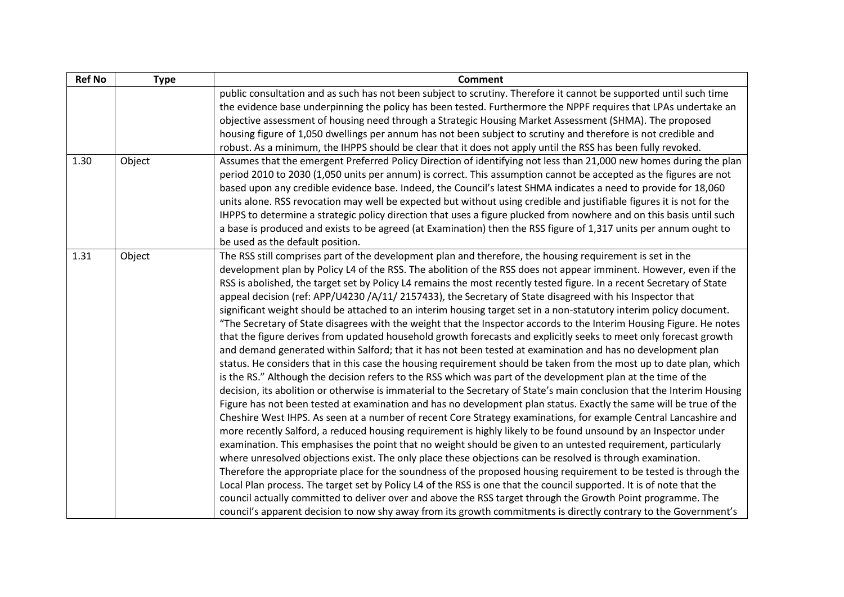| <b>Ref No</b> | <b>Type</b> | <b>Comment</b>                                                                                                                                                                                                                                                                                                                                                                                                                                                                                                                                                                                                                                                                                                                                                                                                                                                                                                                                                                                                                                                                                                                                                                                                                                                                                                                                                                                                                                                                                                                                                                                                                                                                                                                                                                                                                                                                                                                                                                                                                                                                                                                                                                                                                                                                                                                                                                                         |
|---------------|-------------|--------------------------------------------------------------------------------------------------------------------------------------------------------------------------------------------------------------------------------------------------------------------------------------------------------------------------------------------------------------------------------------------------------------------------------------------------------------------------------------------------------------------------------------------------------------------------------------------------------------------------------------------------------------------------------------------------------------------------------------------------------------------------------------------------------------------------------------------------------------------------------------------------------------------------------------------------------------------------------------------------------------------------------------------------------------------------------------------------------------------------------------------------------------------------------------------------------------------------------------------------------------------------------------------------------------------------------------------------------------------------------------------------------------------------------------------------------------------------------------------------------------------------------------------------------------------------------------------------------------------------------------------------------------------------------------------------------------------------------------------------------------------------------------------------------------------------------------------------------------------------------------------------------------------------------------------------------------------------------------------------------------------------------------------------------------------------------------------------------------------------------------------------------------------------------------------------------------------------------------------------------------------------------------------------------------------------------------------------------------------------------------------------------|
|               |             | public consultation and as such has not been subject to scrutiny. Therefore it cannot be supported until such time<br>the evidence base underpinning the policy has been tested. Furthermore the NPPF requires that LPAs undertake an<br>objective assessment of housing need through a Strategic Housing Market Assessment (SHMA). The proposed<br>housing figure of 1,050 dwellings per annum has not been subject to scrutiny and therefore is not credible and<br>robust. As a minimum, the IHPPS should be clear that it does not apply until the RSS has been fully revoked.                                                                                                                                                                                                                                                                                                                                                                                                                                                                                                                                                                                                                                                                                                                                                                                                                                                                                                                                                                                                                                                                                                                                                                                                                                                                                                                                                                                                                                                                                                                                                                                                                                                                                                                                                                                                                     |
| 1.30          | Object      | Assumes that the emergent Preferred Policy Direction of identifying not less than 21,000 new homes during the plan<br>period 2010 to 2030 (1,050 units per annum) is correct. This assumption cannot be accepted as the figures are not<br>based upon any credible evidence base. Indeed, the Council's latest SHMA indicates a need to provide for 18,060<br>units alone. RSS revocation may well be expected but without using credible and justifiable figures it is not for the<br>IHPPS to determine a strategic policy direction that uses a figure plucked from nowhere and on this basis until such<br>a base is produced and exists to be agreed (at Examination) then the RSS figure of 1,317 units per annum ought to<br>be used as the default position.                                                                                                                                                                                                                                                                                                                                                                                                                                                                                                                                                                                                                                                                                                                                                                                                                                                                                                                                                                                                                                                                                                                                                                                                                                                                                                                                                                                                                                                                                                                                                                                                                                   |
| 1.31          | Object      | The RSS still comprises part of the development plan and therefore, the housing requirement is set in the<br>development plan by Policy L4 of the RSS. The abolition of the RSS does not appear imminent. However, even if the<br>RSS is abolished, the target set by Policy L4 remains the most recently tested figure. In a recent Secretary of State<br>appeal decision (ref: APP/U4230 /A/11/ 2157433), the Secretary of State disagreed with his Inspector that<br>significant weight should be attached to an interim housing target set in a non-statutory interim policy document.<br>"The Secretary of State disagrees with the weight that the Inspector accords to the Interim Housing Figure. He notes<br>that the figure derives from updated household growth forecasts and explicitly seeks to meet only forecast growth<br>and demand generated within Salford; that it has not been tested at examination and has no development plan<br>status. He considers that in this case the housing requirement should be taken from the most up to date plan, which<br>is the RS." Although the decision refers to the RSS which was part of the development plan at the time of the<br>decision, its abolition or otherwise is immaterial to the Secretary of State's main conclusion that the Interim Housing<br>Figure has not been tested at examination and has no development plan status. Exactly the same will be true of the<br>Cheshire West IHPS. As seen at a number of recent Core Strategy examinations, for example Central Lancashire and<br>more recently Salford, a reduced housing requirement is highly likely to be found unsound by an Inspector under<br>examination. This emphasises the point that no weight should be given to an untested requirement, particularly<br>where unresolved objections exist. The only place these objections can be resolved is through examination.<br>Therefore the appropriate place for the soundness of the proposed housing requirement to be tested is through the<br>Local Plan process. The target set by Policy L4 of the RSS is one that the council supported. It is of note that the<br>council actually committed to deliver over and above the RSS target through the Growth Point programme. The<br>council's apparent decision to now shy away from its growth commitments is directly contrary to the Government's |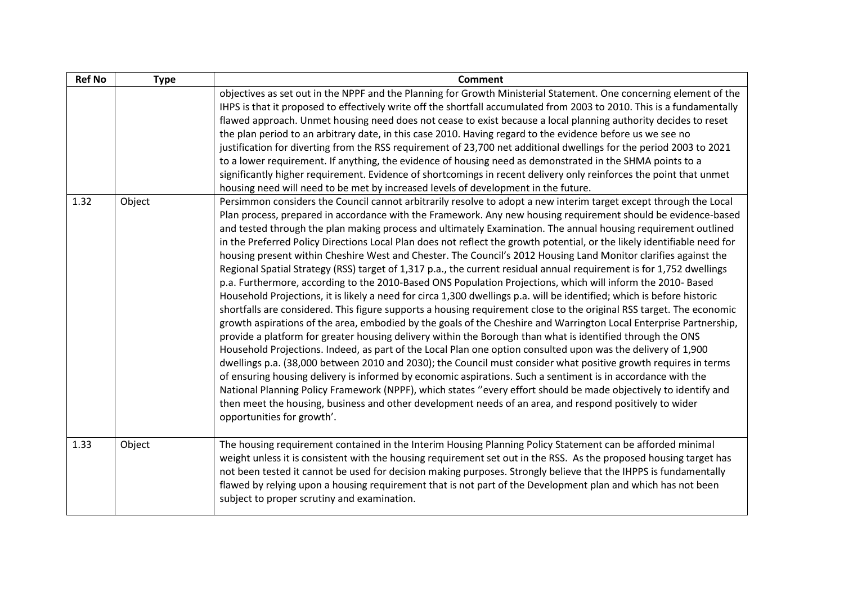| <b>Ref No</b> | <b>Type</b> | <b>Comment</b>                                                                                                                                                                                                                                                                                                                                                                                                                                                                                                                                                                                                                                                                                                                                                                                                                                                                                                                                                                                                                                                                                                                                                                                                                                                                                                                                                                                                                                                                                                                                                                                                                                                                                                                                                                                                                                                                                                                                   |
|---------------|-------------|--------------------------------------------------------------------------------------------------------------------------------------------------------------------------------------------------------------------------------------------------------------------------------------------------------------------------------------------------------------------------------------------------------------------------------------------------------------------------------------------------------------------------------------------------------------------------------------------------------------------------------------------------------------------------------------------------------------------------------------------------------------------------------------------------------------------------------------------------------------------------------------------------------------------------------------------------------------------------------------------------------------------------------------------------------------------------------------------------------------------------------------------------------------------------------------------------------------------------------------------------------------------------------------------------------------------------------------------------------------------------------------------------------------------------------------------------------------------------------------------------------------------------------------------------------------------------------------------------------------------------------------------------------------------------------------------------------------------------------------------------------------------------------------------------------------------------------------------------------------------------------------------------------------------------------------------------|
|               |             | objectives as set out in the NPPF and the Planning for Growth Ministerial Statement. One concerning element of the<br>IHPS is that it proposed to effectively write off the shortfall accumulated from 2003 to 2010. This is a fundamentally<br>flawed approach. Unmet housing need does not cease to exist because a local planning authority decides to reset<br>the plan period to an arbitrary date, in this case 2010. Having regard to the evidence before us we see no<br>justification for diverting from the RSS requirement of 23,700 net additional dwellings for the period 2003 to 2021<br>to a lower requirement. If anything, the evidence of housing need as demonstrated in the SHMA points to a<br>significantly higher requirement. Evidence of shortcomings in recent delivery only reinforces the point that unmet<br>housing need will need to be met by increased levels of development in the future.                                                                                                                                                                                                                                                                                                                                                                                                                                                                                                                                                                                                                                                                                                                                                                                                                                                                                                                                                                                                                    |
| 1.32          | Object      | Persimmon considers the Council cannot arbitrarily resolve to adopt a new interim target except through the Local<br>Plan process, prepared in accordance with the Framework. Any new housing requirement should be evidence-based<br>and tested through the plan making process and ultimately Examination. The annual housing requirement outlined<br>in the Preferred Policy Directions Local Plan does not reflect the growth potential, or the likely identifiable need for<br>housing present within Cheshire West and Chester. The Council's 2012 Housing Land Monitor clarifies against the<br>Regional Spatial Strategy (RSS) target of 1,317 p.a., the current residual annual requirement is for 1,752 dwellings<br>p.a. Furthermore, according to the 2010-Based ONS Population Projections, which will inform the 2010- Based<br>Household Projections, it is likely a need for circa 1,300 dwellings p.a. will be identified; which is before historic<br>shortfalls are considered. This figure supports a housing requirement close to the original RSS target. The economic<br>growth aspirations of the area, embodied by the goals of the Cheshire and Warrington Local Enterprise Partnership,<br>provide a platform for greater housing delivery within the Borough than what is identified through the ONS<br>Household Projections. Indeed, as part of the Local Plan one option consulted upon was the delivery of 1,900<br>dwellings p.a. (38,000 between 2010 and 2030); the Council must consider what positive growth requires in terms<br>of ensuring housing delivery is informed by economic aspirations. Such a sentiment is in accordance with the<br>National Planning Policy Framework (NPPF), which states "every effort should be made objectively to identify and<br>then meet the housing, business and other development needs of an area, and respond positively to wider<br>opportunities for growth'. |
| 1.33          | Object      | The housing requirement contained in the Interim Housing Planning Policy Statement can be afforded minimal<br>weight unless it is consistent with the housing requirement set out in the RSS. As the proposed housing target has<br>not been tested it cannot be used for decision making purposes. Strongly believe that the IHPPS is fundamentally<br>flawed by relying upon a housing requirement that is not part of the Development plan and which has not been<br>subject to proper scrutiny and examination.                                                                                                                                                                                                                                                                                                                                                                                                                                                                                                                                                                                                                                                                                                                                                                                                                                                                                                                                                                                                                                                                                                                                                                                                                                                                                                                                                                                                                              |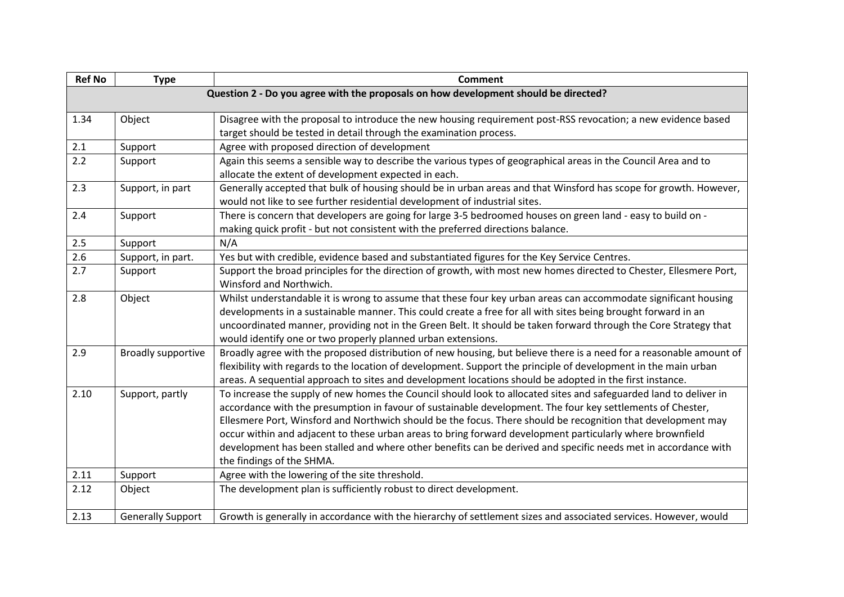| <b>Ref No</b> | <b>Type</b>                                                                         | <b>Comment</b>                                                                                                      |  |  |
|---------------|-------------------------------------------------------------------------------------|---------------------------------------------------------------------------------------------------------------------|--|--|
|               | Question 2 - Do you agree with the proposals on how development should be directed? |                                                                                                                     |  |  |
|               |                                                                                     |                                                                                                                     |  |  |
| 1.34          | Object                                                                              | Disagree with the proposal to introduce the new housing requirement post-RSS revocation; a new evidence based       |  |  |
|               |                                                                                     | target should be tested in detail through the examination process.                                                  |  |  |
| 2.1           | Support                                                                             | Agree with proposed direction of development                                                                        |  |  |
| 2.2           | Support                                                                             | Again this seems a sensible way to describe the various types of geographical areas in the Council Area and to      |  |  |
|               |                                                                                     | allocate the extent of development expected in each.                                                                |  |  |
| 2.3           | Support, in part                                                                    | Generally accepted that bulk of housing should be in urban areas and that Winsford has scope for growth. However,   |  |  |
|               |                                                                                     | would not like to see further residential development of industrial sites.                                          |  |  |
| 2.4           | Support                                                                             | There is concern that developers are going for large 3-5 bedroomed houses on green land - easy to build on -        |  |  |
|               |                                                                                     | making quick profit - but not consistent with the preferred directions balance.                                     |  |  |
| 2.5           | Support                                                                             | N/A                                                                                                                 |  |  |
| 2.6           | Support, in part.                                                                   | Yes but with credible, evidence based and substantiated figures for the Key Service Centres.                        |  |  |
| 2.7           | Support                                                                             | Support the broad principles for the direction of growth, with most new homes directed to Chester, Ellesmere Port,  |  |  |
|               |                                                                                     | Winsford and Northwich.                                                                                             |  |  |
| 2.8           | Object                                                                              | Whilst understandable it is wrong to assume that these four key urban areas can accommodate significant housing     |  |  |
|               |                                                                                     | developments in a sustainable manner. This could create a free for all with sites being brought forward in an       |  |  |
|               |                                                                                     | uncoordinated manner, providing not in the Green Belt. It should be taken forward through the Core Strategy that    |  |  |
|               |                                                                                     | would identify one or two properly planned urban extensions.                                                        |  |  |
| 2.9           | Broadly supportive                                                                  | Broadly agree with the proposed distribution of new housing, but believe there is a need for a reasonable amount of |  |  |
|               |                                                                                     | flexibility with regards to the location of development. Support the principle of development in the main urban     |  |  |
|               |                                                                                     | areas. A sequential approach to sites and development locations should be adopted in the first instance.            |  |  |
| 2.10          | Support, partly                                                                     | To increase the supply of new homes the Council should look to allocated sites and safeguarded land to deliver in   |  |  |
|               |                                                                                     | accordance with the presumption in favour of sustainable development. The four key settlements of Chester,          |  |  |
|               |                                                                                     | Ellesmere Port, Winsford and Northwich should be the focus. There should be recognition that development may        |  |  |
|               |                                                                                     | occur within and adjacent to these urban areas to bring forward development particularly where brownfield           |  |  |
|               |                                                                                     | development has been stalled and where other benefits can be derived and specific needs met in accordance with      |  |  |
|               |                                                                                     | the findings of the SHMA.                                                                                           |  |  |
| 2.11          | Support                                                                             | Agree with the lowering of the site threshold.                                                                      |  |  |
| 2.12          | Object                                                                              | The development plan is sufficiently robust to direct development.                                                  |  |  |
|               |                                                                                     |                                                                                                                     |  |  |
| 2.13          | <b>Generally Support</b>                                                            | Growth is generally in accordance with the hierarchy of settlement sizes and associated services. However, would    |  |  |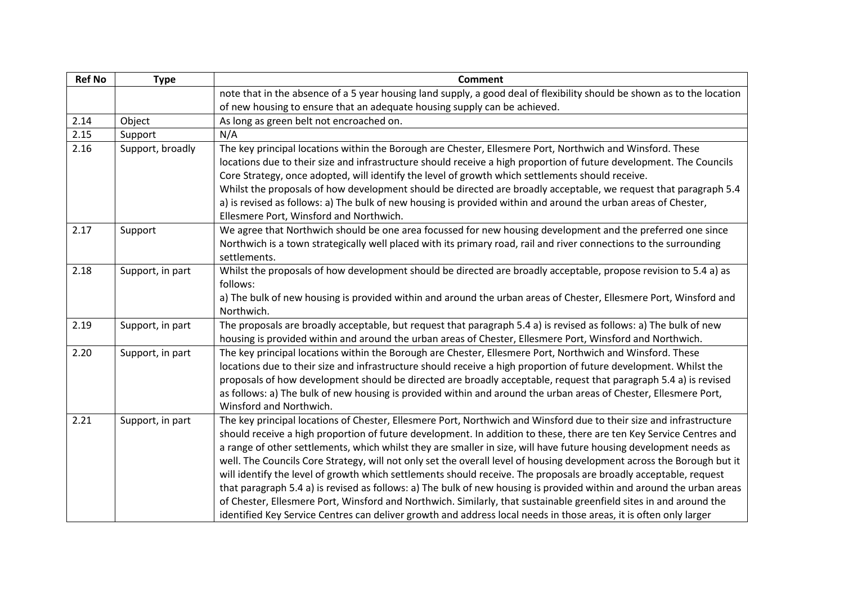| <b>Ref No</b> | <b>Type</b>      | <b>Comment</b>                                                                                                                                                                                                                                                                                                                                                                                                                                                                                                                                                                                                                                                                                                                                                                                                                                                                                                                                                                      |
|---------------|------------------|-------------------------------------------------------------------------------------------------------------------------------------------------------------------------------------------------------------------------------------------------------------------------------------------------------------------------------------------------------------------------------------------------------------------------------------------------------------------------------------------------------------------------------------------------------------------------------------------------------------------------------------------------------------------------------------------------------------------------------------------------------------------------------------------------------------------------------------------------------------------------------------------------------------------------------------------------------------------------------------|
|               |                  | note that in the absence of a 5 year housing land supply, a good deal of flexibility should be shown as to the location                                                                                                                                                                                                                                                                                                                                                                                                                                                                                                                                                                                                                                                                                                                                                                                                                                                             |
|               |                  | of new housing to ensure that an adequate housing supply can be achieved.                                                                                                                                                                                                                                                                                                                                                                                                                                                                                                                                                                                                                                                                                                                                                                                                                                                                                                           |
| 2.14          | Object           | As long as green belt not encroached on.                                                                                                                                                                                                                                                                                                                                                                                                                                                                                                                                                                                                                                                                                                                                                                                                                                                                                                                                            |
| 2.15          | Support          | N/A                                                                                                                                                                                                                                                                                                                                                                                                                                                                                                                                                                                                                                                                                                                                                                                                                                                                                                                                                                                 |
| 2.16          | Support, broadly | The key principal locations within the Borough are Chester, Ellesmere Port, Northwich and Winsford. These<br>locations due to their size and infrastructure should receive a high proportion of future development. The Councils<br>Core Strategy, once adopted, will identify the level of growth which settlements should receive.                                                                                                                                                                                                                                                                                                                                                                                                                                                                                                                                                                                                                                                |
|               |                  | Whilst the proposals of how development should be directed are broadly acceptable, we request that paragraph 5.4<br>a) is revised as follows: a) The bulk of new housing is provided within and around the urban areas of Chester,<br>Ellesmere Port, Winsford and Northwich.                                                                                                                                                                                                                                                                                                                                                                                                                                                                                                                                                                                                                                                                                                       |
| 2.17          | Support          | We agree that Northwich should be one area focussed for new housing development and the preferred one since<br>Northwich is a town strategically well placed with its primary road, rail and river connections to the surrounding<br>settlements.                                                                                                                                                                                                                                                                                                                                                                                                                                                                                                                                                                                                                                                                                                                                   |
| 2.18          | Support, in part | Whilst the proposals of how development should be directed are broadly acceptable, propose revision to 5.4 a) as<br>follows:<br>a) The bulk of new housing is provided within and around the urban areas of Chester, Ellesmere Port, Winsford and<br>Northwich.                                                                                                                                                                                                                                                                                                                                                                                                                                                                                                                                                                                                                                                                                                                     |
| 2.19          | Support, in part | The proposals are broadly acceptable, but request that paragraph 5.4 a) is revised as follows: a) The bulk of new<br>housing is provided within and around the urban areas of Chester, Ellesmere Port, Winsford and Northwich.                                                                                                                                                                                                                                                                                                                                                                                                                                                                                                                                                                                                                                                                                                                                                      |
| 2.20          | Support, in part | The key principal locations within the Borough are Chester, Ellesmere Port, Northwich and Winsford. These<br>locations due to their size and infrastructure should receive a high proportion of future development. Whilst the<br>proposals of how development should be directed are broadly acceptable, request that paragraph 5.4 a) is revised<br>as follows: a) The bulk of new housing is provided within and around the urban areas of Chester, Ellesmere Port,<br>Winsford and Northwich.                                                                                                                                                                                                                                                                                                                                                                                                                                                                                   |
| 2.21          | Support, in part | The key principal locations of Chester, Ellesmere Port, Northwich and Winsford due to their size and infrastructure<br>should receive a high proportion of future development. In addition to these, there are ten Key Service Centres and<br>a range of other settlements, which whilst they are smaller in size, will have future housing development needs as<br>well. The Councils Core Strategy, will not only set the overall level of housing development across the Borough but it<br>will identify the level of growth which settlements should receive. The proposals are broadly acceptable, request<br>that paragraph 5.4 a) is revised as follows: a) The bulk of new housing is provided within and around the urban areas<br>of Chester, Ellesmere Port, Winsford and Northwich. Similarly, that sustainable greenfield sites in and around the<br>identified Key Service Centres can deliver growth and address local needs in those areas, it is often only larger |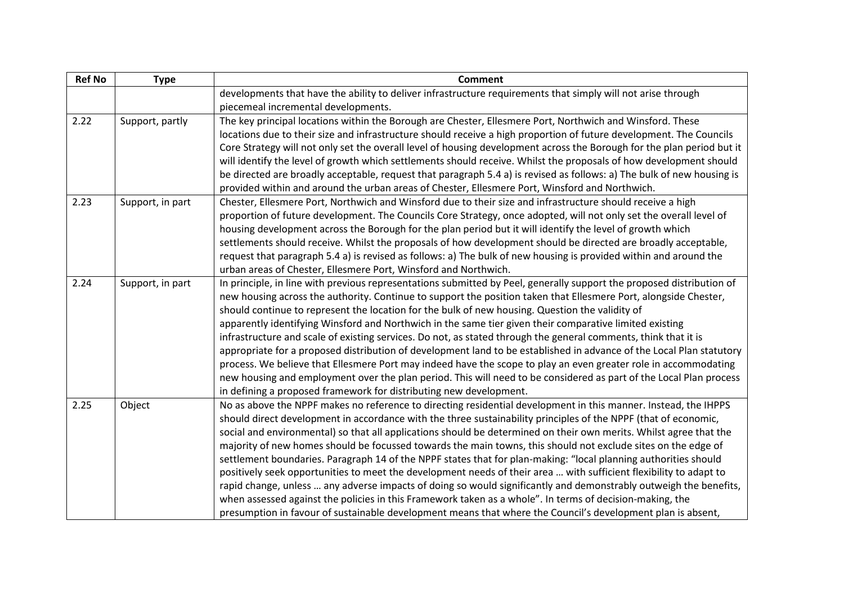| <b>Ref No</b> | <b>Type</b>      | <b>Comment</b>                                                                                                         |
|---------------|------------------|------------------------------------------------------------------------------------------------------------------------|
|               |                  | developments that have the ability to deliver infrastructure requirements that simply will not arise through           |
|               |                  | piecemeal incremental developments.                                                                                    |
| 2.22          | Support, partly  | The key principal locations within the Borough are Chester, Ellesmere Port, Northwich and Winsford. These              |
|               |                  | locations due to their size and infrastructure should receive a high proportion of future development. The Councils    |
|               |                  | Core Strategy will not only set the overall level of housing development across the Borough for the plan period but it |
|               |                  | will identify the level of growth which settlements should receive. Whilst the proposals of how development should     |
|               |                  | be directed are broadly acceptable, request that paragraph 5.4 a) is revised as follows: a) The bulk of new housing is |
|               |                  | provided within and around the urban areas of Chester, Ellesmere Port, Winsford and Northwich.                         |
| 2.23          | Support, in part | Chester, Ellesmere Port, Northwich and Winsford due to their size and infrastructure should receive a high             |
|               |                  | proportion of future development. The Councils Core Strategy, once adopted, will not only set the overall level of     |
|               |                  | housing development across the Borough for the plan period but it will identify the level of growth which              |
|               |                  | settlements should receive. Whilst the proposals of how development should be directed are broadly acceptable,         |
|               |                  | request that paragraph 5.4 a) is revised as follows: a) The bulk of new housing is provided within and around the      |
|               |                  | urban areas of Chester, Ellesmere Port, Winsford and Northwich.                                                        |
| 2.24          | Support, in part | In principle, in line with previous representations submitted by Peel, generally support the proposed distribution of  |
|               |                  | new housing across the authority. Continue to support the position taken that Ellesmere Port, alongside Chester,       |
|               |                  | should continue to represent the location for the bulk of new housing. Question the validity of                        |
|               |                  | apparently identifying Winsford and Northwich in the same tier given their comparative limited existing                |
|               |                  | infrastructure and scale of existing services. Do not, as stated through the general comments, think that it is        |
|               |                  | appropriate for a proposed distribution of development land to be established in advance of the Local Plan statutory   |
|               |                  | process. We believe that Ellesmere Port may indeed have the scope to play an even greater role in accommodating        |
|               |                  | new housing and employment over the plan period. This will need to be considered as part of the Local Plan process     |
|               |                  | in defining a proposed framework for distributing new development.                                                     |
| 2.25          | Object           | No as above the NPPF makes no reference to directing residential development in this manner. Instead, the IHPPS        |
|               |                  | should direct development in accordance with the three sustainability principles of the NPPF (that of economic,        |
|               |                  | social and environmental) so that all applications should be determined on their own merits. Whilst agree that the     |
|               |                  | majority of new homes should be focussed towards the main towns, this should not exclude sites on the edge of          |
|               |                  | settlement boundaries. Paragraph 14 of the NPPF states that for plan-making: "local planning authorities should        |
|               |                  | positively seek opportunities to meet the development needs of their area  with sufficient flexibility to adapt to     |
|               |                  | rapid change, unless  any adverse impacts of doing so would significantly and demonstrably outweigh the benefits,      |
|               |                  | when assessed against the policies in this Framework taken as a whole". In terms of decision-making, the               |
|               |                  | presumption in favour of sustainable development means that where the Council's development plan is absent,            |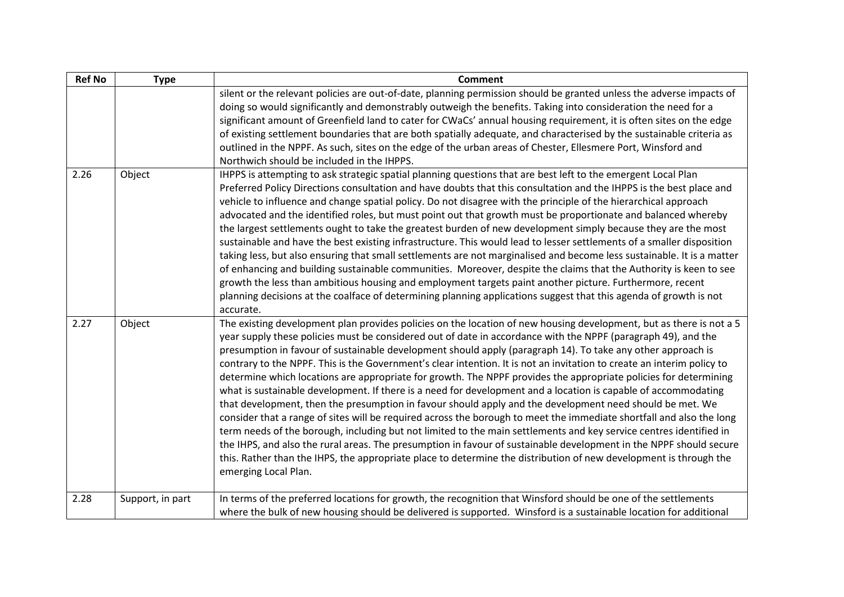| <b>Ref No</b> | <b>Type</b>      | <b>Comment</b>                                                                                                                                                                                                                                                                                                                                                                                                                                                                                                                                                                                                                                                                                                                                                                                                                                                                                                                                                                                                                                                                                                                                                                                                                                                                                                                                   |
|---------------|------------------|--------------------------------------------------------------------------------------------------------------------------------------------------------------------------------------------------------------------------------------------------------------------------------------------------------------------------------------------------------------------------------------------------------------------------------------------------------------------------------------------------------------------------------------------------------------------------------------------------------------------------------------------------------------------------------------------------------------------------------------------------------------------------------------------------------------------------------------------------------------------------------------------------------------------------------------------------------------------------------------------------------------------------------------------------------------------------------------------------------------------------------------------------------------------------------------------------------------------------------------------------------------------------------------------------------------------------------------------------|
|               |                  | silent or the relevant policies are out-of-date, planning permission should be granted unless the adverse impacts of<br>doing so would significantly and demonstrably outweigh the benefits. Taking into consideration the need for a<br>significant amount of Greenfield land to cater for CWaCs' annual housing requirement, it is often sites on the edge<br>of existing settlement boundaries that are both spatially adequate, and characterised by the sustainable criteria as<br>outlined in the NPPF. As such, sites on the edge of the urban areas of Chester, Ellesmere Port, Winsford and<br>Northwich should be included in the IHPPS.                                                                                                                                                                                                                                                                                                                                                                                                                                                                                                                                                                                                                                                                                               |
| 2.26          | Object           | IHPPS is attempting to ask strategic spatial planning questions that are best left to the emergent Local Plan<br>Preferred Policy Directions consultation and have doubts that this consultation and the IHPPS is the best place and<br>vehicle to influence and change spatial policy. Do not disagree with the principle of the hierarchical approach<br>advocated and the identified roles, but must point out that growth must be proportionate and balanced whereby<br>the largest settlements ought to take the greatest burden of new development simply because they are the most<br>sustainable and have the best existing infrastructure. This would lead to lesser settlements of a smaller disposition<br>taking less, but also ensuring that small settlements are not marginalised and become less sustainable. It is a matter<br>of enhancing and building sustainable communities. Moreover, despite the claims that the Authority is keen to see<br>growth the less than ambitious housing and employment targets paint another picture. Furthermore, recent<br>planning decisions at the coalface of determining planning applications suggest that this agenda of growth is not<br>accurate.                                                                                                                                  |
| 2.27          | Object           | The existing development plan provides policies on the location of new housing development, but as there is not a 5<br>year supply these policies must be considered out of date in accordance with the NPPF (paragraph 49), and the<br>presumption in favour of sustainable development should apply (paragraph 14). To take any other approach is<br>contrary to the NPPF. This is the Government's clear intention. It is not an invitation to create an interim policy to<br>determine which locations are appropriate for growth. The NPPF provides the appropriate policies for determining<br>what is sustainable development. If there is a need for development and a location is capable of accommodating<br>that development, then the presumption in favour should apply and the development need should be met. We<br>consider that a range of sites will be required across the borough to meet the immediate shortfall and also the long<br>term needs of the borough, including but not limited to the main settlements and key service centres identified in<br>the IHPS, and also the rural areas. The presumption in favour of sustainable development in the NPPF should secure<br>this. Rather than the IHPS, the appropriate place to determine the distribution of new development is through the<br>emerging Local Plan. |
| 2.28          | Support, in part | In terms of the preferred locations for growth, the recognition that Winsford should be one of the settlements<br>where the bulk of new housing should be delivered is supported. Winsford is a sustainable location for additional                                                                                                                                                                                                                                                                                                                                                                                                                                                                                                                                                                                                                                                                                                                                                                                                                                                                                                                                                                                                                                                                                                              |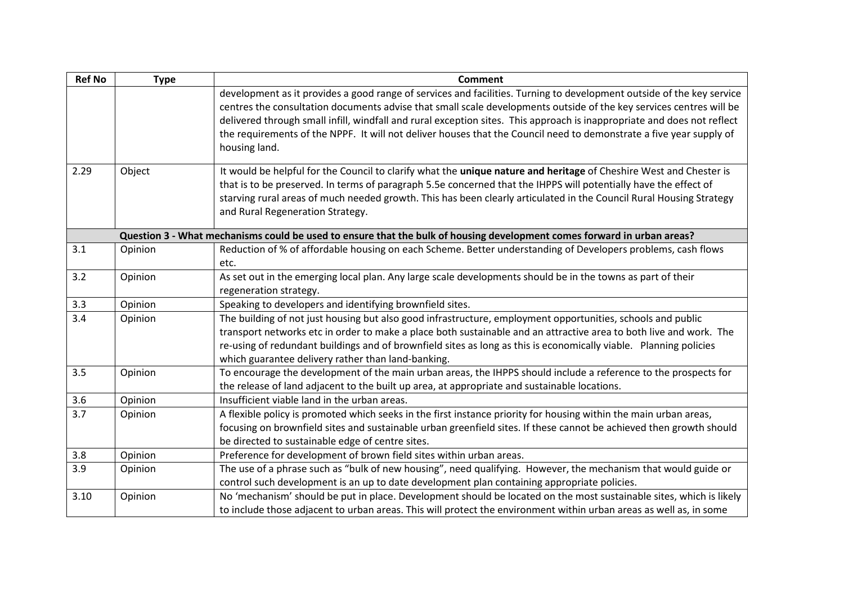| <b>Ref No</b> | <b>Type</b> | <b>Comment</b>                                                                                                                                                                                                                                                                                                                                                                                                                                                                                                  |
|---------------|-------------|-----------------------------------------------------------------------------------------------------------------------------------------------------------------------------------------------------------------------------------------------------------------------------------------------------------------------------------------------------------------------------------------------------------------------------------------------------------------------------------------------------------------|
|               |             | development as it provides a good range of services and facilities. Turning to development outside of the key service<br>centres the consultation documents advise that small scale developments outside of the key services centres will be<br>delivered through small infill, windfall and rural exception sites. This approach is inappropriate and does not reflect<br>the requirements of the NPPF. It will not deliver houses that the Council need to demonstrate a five year supply of<br>housing land. |
| 2.29          | Object      | It would be helpful for the Council to clarify what the unique nature and heritage of Cheshire West and Chester is<br>that is to be preserved. In terms of paragraph 5.5e concerned that the IHPPS will potentially have the effect of<br>starving rural areas of much needed growth. This has been clearly articulated in the Council Rural Housing Strategy<br>and Rural Regeneration Strategy.                                                                                                               |
|               |             | Question 3 - What mechanisms could be used to ensure that the bulk of housing development comes forward in urban areas?                                                                                                                                                                                                                                                                                                                                                                                         |
| 3.1           | Opinion     | Reduction of % of affordable housing on each Scheme. Better understanding of Developers problems, cash flows<br>etc.                                                                                                                                                                                                                                                                                                                                                                                            |
| 3.2           | Opinion     | As set out in the emerging local plan. Any large scale developments should be in the towns as part of their<br>regeneration strategy.                                                                                                                                                                                                                                                                                                                                                                           |
| 3.3           | Opinion     | Speaking to developers and identifying brownfield sites.                                                                                                                                                                                                                                                                                                                                                                                                                                                        |
| 3.4           | Opinion     | The building of not just housing but also good infrastructure, employment opportunities, schools and public<br>transport networks etc in order to make a place both sustainable and an attractive area to both live and work. The<br>re-using of redundant buildings and of brownfield sites as long as this is economically viable. Planning policies<br>which guarantee delivery rather than land-banking.                                                                                                    |
| 3.5           | Opinion     | To encourage the development of the main urban areas, the IHPPS should include a reference to the prospects for<br>the release of land adjacent to the built up area, at appropriate and sustainable locations.                                                                                                                                                                                                                                                                                                 |
| 3.6           | Opinion     | Insufficient viable land in the urban areas.                                                                                                                                                                                                                                                                                                                                                                                                                                                                    |
| 3.7           | Opinion     | A flexible policy is promoted which seeks in the first instance priority for housing within the main urban areas,<br>focusing on brownfield sites and sustainable urban greenfield sites. If these cannot be achieved then growth should<br>be directed to sustainable edge of centre sites.                                                                                                                                                                                                                    |
| 3.8           | Opinion     | Preference for development of brown field sites within urban areas.                                                                                                                                                                                                                                                                                                                                                                                                                                             |
| 3.9           | Opinion     | The use of a phrase such as "bulk of new housing", need qualifying. However, the mechanism that would guide or<br>control such development is an up to date development plan containing appropriate policies.                                                                                                                                                                                                                                                                                                   |
| 3.10          | Opinion     | No 'mechanism' should be put in place. Development should be located on the most sustainable sites, which is likely<br>to include those adjacent to urban areas. This will protect the environment within urban areas as well as, in some                                                                                                                                                                                                                                                                       |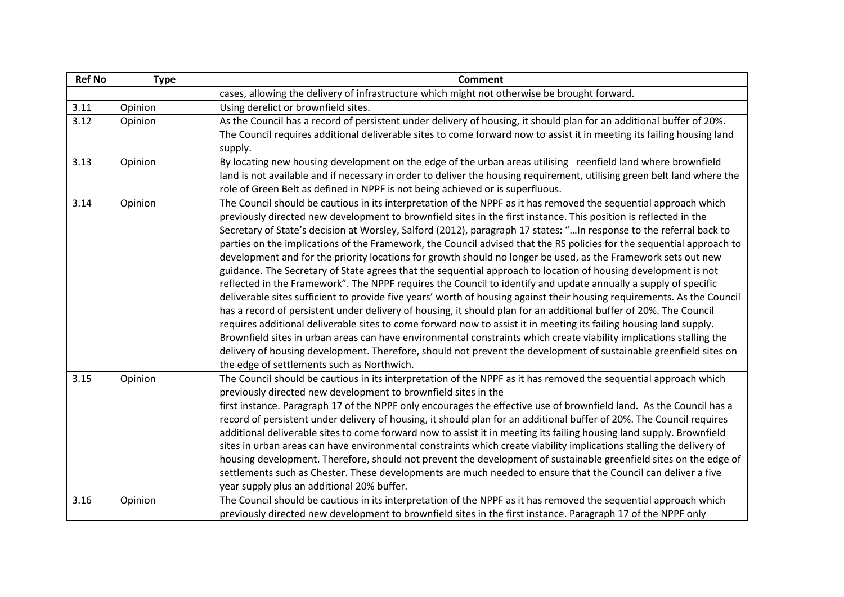| <b>Ref No</b> | <b>Type</b> | <b>Comment</b>                                                                                                          |
|---------------|-------------|-------------------------------------------------------------------------------------------------------------------------|
|               |             | cases, allowing the delivery of infrastructure which might not otherwise be brought forward.                            |
| 3.11          | Opinion     | Using derelict or brownfield sites.                                                                                     |
| 3.12          | Opinion     | As the Council has a record of persistent under delivery of housing, it should plan for an additional buffer of 20%.    |
|               |             | The Council requires additional deliverable sites to come forward now to assist it in meeting its failing housing land  |
|               |             | supply.                                                                                                                 |
| 3.13          | Opinion     | By locating new housing development on the edge of the urban areas utilising reenfield land where brownfield            |
|               |             | land is not available and if necessary in order to deliver the housing requirement, utilising green belt land where the |
|               |             | role of Green Belt as defined in NPPF is not being achieved or is superfluous.                                          |
| 3.14          | Opinion     | The Council should be cautious in its interpretation of the NPPF as it has removed the sequential approach which        |
|               |             | previously directed new development to brownfield sites in the first instance. This position is reflected in the        |
|               |             | Secretary of State's decision at Worsley, Salford (2012), paragraph 17 states: " In response to the referral back to    |
|               |             | parties on the implications of the Framework, the Council advised that the RS policies for the sequential approach to   |
|               |             | development and for the priority locations for growth should no longer be used, as the Framework sets out new           |
|               |             | guidance. The Secretary of State agrees that the sequential approach to location of housing development is not          |
|               |             | reflected in the Framework". The NPPF requires the Council to identify and update annually a supply of specific         |
|               |             | deliverable sites sufficient to provide five years' worth of housing against their housing requirements. As the Council |
|               |             | has a record of persistent under delivery of housing, it should plan for an additional buffer of 20%. The Council       |
|               |             | requires additional deliverable sites to come forward now to assist it in meeting its failing housing land supply.      |
|               |             | Brownfield sites in urban areas can have environmental constraints which create viability implications stalling the     |
|               |             | delivery of housing development. Therefore, should not prevent the development of sustainable greenfield sites on       |
|               |             | the edge of settlements such as Northwich.                                                                              |
| 3.15          | Opinion     | The Council should be cautious in its interpretation of the NPPF as it has removed the sequential approach which        |
|               |             | previously directed new development to brownfield sites in the                                                          |
|               |             | first instance. Paragraph 17 of the NPPF only encourages the effective use of brownfield land. As the Council has a     |
|               |             | record of persistent under delivery of housing, it should plan for an additional buffer of 20%. The Council requires    |
|               |             | additional deliverable sites to come forward now to assist it in meeting its failing housing land supply. Brownfield    |
|               |             | sites in urban areas can have environmental constraints which create viability implications stalling the delivery of    |
|               |             | housing development. Therefore, should not prevent the development of sustainable greenfield sites on the edge of       |
|               |             | settlements such as Chester. These developments are much needed to ensure that the Council can deliver a five           |
|               |             | year supply plus an additional 20% buffer.                                                                              |
| 3.16          | Opinion     | The Council should be cautious in its interpretation of the NPPF as it has removed the sequential approach which        |
|               |             | previously directed new development to brownfield sites in the first instance. Paragraph 17 of the NPPF only            |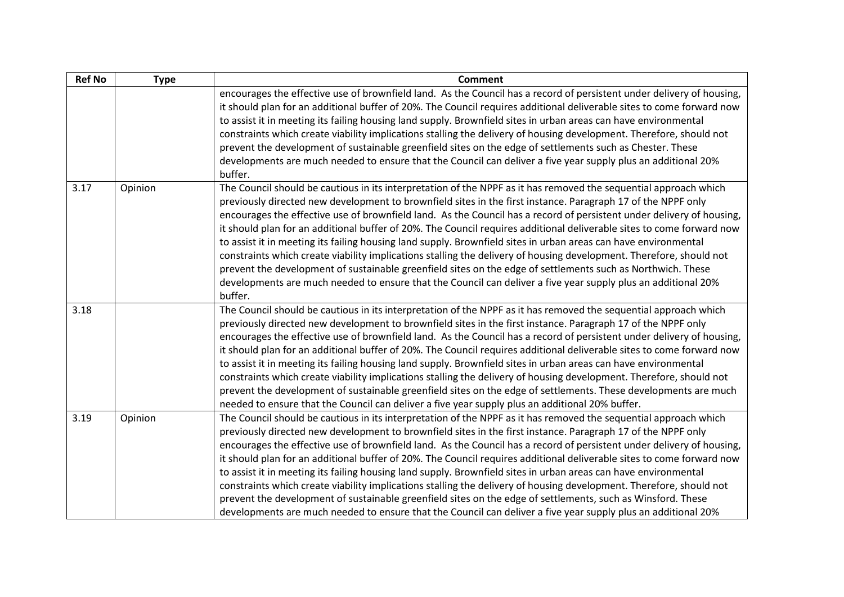| <b>Ref No</b> | <b>Type</b> | <b>Comment</b>                                                                                                                                                                                                                                                                                                                                                                                                                                                                                                                                                                                                                                                                                                                                                                                                                                                                                                                                                          |
|---------------|-------------|-------------------------------------------------------------------------------------------------------------------------------------------------------------------------------------------------------------------------------------------------------------------------------------------------------------------------------------------------------------------------------------------------------------------------------------------------------------------------------------------------------------------------------------------------------------------------------------------------------------------------------------------------------------------------------------------------------------------------------------------------------------------------------------------------------------------------------------------------------------------------------------------------------------------------------------------------------------------------|
|               |             | encourages the effective use of brownfield land. As the Council has a record of persistent under delivery of housing,<br>it should plan for an additional buffer of 20%. The Council requires additional deliverable sites to come forward now<br>to assist it in meeting its failing housing land supply. Brownfield sites in urban areas can have environmental<br>constraints which create viability implications stalling the delivery of housing development. Therefore, should not<br>prevent the development of sustainable greenfield sites on the edge of settlements such as Chester. These<br>developments are much needed to ensure that the Council can deliver a five year supply plus an additional 20%<br>buffer.                                                                                                                                                                                                                                       |
| 3.17          | Opinion     | The Council should be cautious in its interpretation of the NPPF as it has removed the sequential approach which<br>previously directed new development to brownfield sites in the first instance. Paragraph 17 of the NPPF only<br>encourages the effective use of brownfield land. As the Council has a record of persistent under delivery of housing,<br>it should plan for an additional buffer of 20%. The Council requires additional deliverable sites to come forward now<br>to assist it in meeting its failing housing land supply. Brownfield sites in urban areas can have environmental<br>constraints which create viability implications stalling the delivery of housing development. Therefore, should not<br>prevent the development of sustainable greenfield sites on the edge of settlements such as Northwich. These<br>developments are much needed to ensure that the Council can deliver a five year supply plus an additional 20%<br>buffer. |
| 3.18          |             | The Council should be cautious in its interpretation of the NPPF as it has removed the sequential approach which<br>previously directed new development to brownfield sites in the first instance. Paragraph 17 of the NPPF only<br>encourages the effective use of brownfield land. As the Council has a record of persistent under delivery of housing,<br>it should plan for an additional buffer of 20%. The Council requires additional deliverable sites to come forward now<br>to assist it in meeting its failing housing land supply. Brownfield sites in urban areas can have environmental<br>constraints which create viability implications stalling the delivery of housing development. Therefore, should not<br>prevent the development of sustainable greenfield sites on the edge of settlements. These developments are much<br>needed to ensure that the Council can deliver a five year supply plus an additional 20% buffer.                      |
| 3.19          | Opinion     | The Council should be cautious in its interpretation of the NPPF as it has removed the sequential approach which<br>previously directed new development to brownfield sites in the first instance. Paragraph 17 of the NPPF only<br>encourages the effective use of brownfield land. As the Council has a record of persistent under delivery of housing,<br>it should plan for an additional buffer of 20%. The Council requires additional deliverable sites to come forward now<br>to assist it in meeting its failing housing land supply. Brownfield sites in urban areas can have environmental<br>constraints which create viability implications stalling the delivery of housing development. Therefore, should not<br>prevent the development of sustainable greenfield sites on the edge of settlements, such as Winsford. These<br>developments are much needed to ensure that the Council can deliver a five year supply plus an additional 20%            |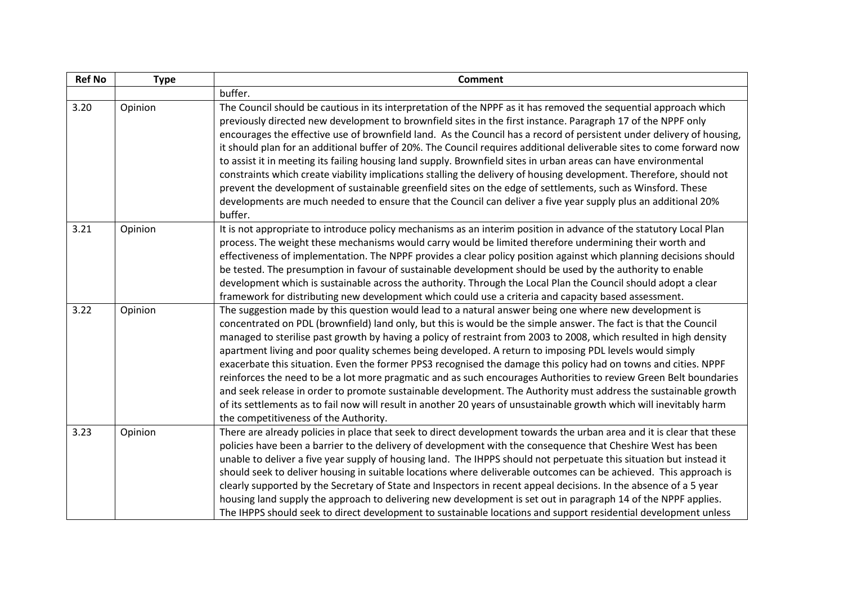| <b>Ref No</b> | <b>Type</b> | <b>Comment</b>                                                                                                                                                                                                                                                                                                                                                                                                                                                                                                                                                                                                                                                                                                                                                                                                                                                                                                                                                                          |
|---------------|-------------|-----------------------------------------------------------------------------------------------------------------------------------------------------------------------------------------------------------------------------------------------------------------------------------------------------------------------------------------------------------------------------------------------------------------------------------------------------------------------------------------------------------------------------------------------------------------------------------------------------------------------------------------------------------------------------------------------------------------------------------------------------------------------------------------------------------------------------------------------------------------------------------------------------------------------------------------------------------------------------------------|
|               |             | buffer.                                                                                                                                                                                                                                                                                                                                                                                                                                                                                                                                                                                                                                                                                                                                                                                                                                                                                                                                                                                 |
| 3.20          | Opinion     | The Council should be cautious in its interpretation of the NPPF as it has removed the sequential approach which<br>previously directed new development to brownfield sites in the first instance. Paragraph 17 of the NPPF only<br>encourages the effective use of brownfield land. As the Council has a record of persistent under delivery of housing,<br>it should plan for an additional buffer of 20%. The Council requires additional deliverable sites to come forward now<br>to assist it in meeting its failing housing land supply. Brownfield sites in urban areas can have environmental<br>constraints which create viability implications stalling the delivery of housing development. Therefore, should not<br>prevent the development of sustainable greenfield sites on the edge of settlements, such as Winsford. These<br>developments are much needed to ensure that the Council can deliver a five year supply plus an additional 20%<br>buffer.                 |
| 3.21          | Opinion     | It is not appropriate to introduce policy mechanisms as an interim position in advance of the statutory Local Plan<br>process. The weight these mechanisms would carry would be limited therefore undermining their worth and<br>effectiveness of implementation. The NPPF provides a clear policy position against which planning decisions should<br>be tested. The presumption in favour of sustainable development should be used by the authority to enable<br>development which is sustainable across the authority. Through the Local Plan the Council should adopt a clear<br>framework for distributing new development which could use a criteria and capacity based assessment.                                                                                                                                                                                                                                                                                              |
| 3.22          | Opinion     | The suggestion made by this question would lead to a natural answer being one where new development is<br>concentrated on PDL (brownfield) land only, but this is would be the simple answer. The fact is that the Council<br>managed to sterilise past growth by having a policy of restraint from 2003 to 2008, which resulted in high density<br>apartment living and poor quality schemes being developed. A return to imposing PDL levels would simply<br>exacerbate this situation. Even the former PPS3 recognised the damage this policy had on towns and cities. NPPF<br>reinforces the need to be a lot more pragmatic and as such encourages Authorities to review Green Belt boundaries<br>and seek release in order to promote sustainable development. The Authority must address the sustainable growth<br>of its settlements as to fail now will result in another 20 years of unsustainable growth which will inevitably harm<br>the competitiveness of the Authority. |
| 3.23          | Opinion     | There are already policies in place that seek to direct development towards the urban area and it is clear that these<br>policies have been a barrier to the delivery of development with the consequence that Cheshire West has been<br>unable to deliver a five year supply of housing land. The IHPPS should not perpetuate this situation but instead it<br>should seek to deliver housing in suitable locations where deliverable outcomes can be achieved. This approach is<br>clearly supported by the Secretary of State and Inspectors in recent appeal decisions. In the absence of a 5 year<br>housing land supply the approach to delivering new development is set out in paragraph 14 of the NPPF applies.<br>The IHPPS should seek to direct development to sustainable locations and support residential development unless                                                                                                                                             |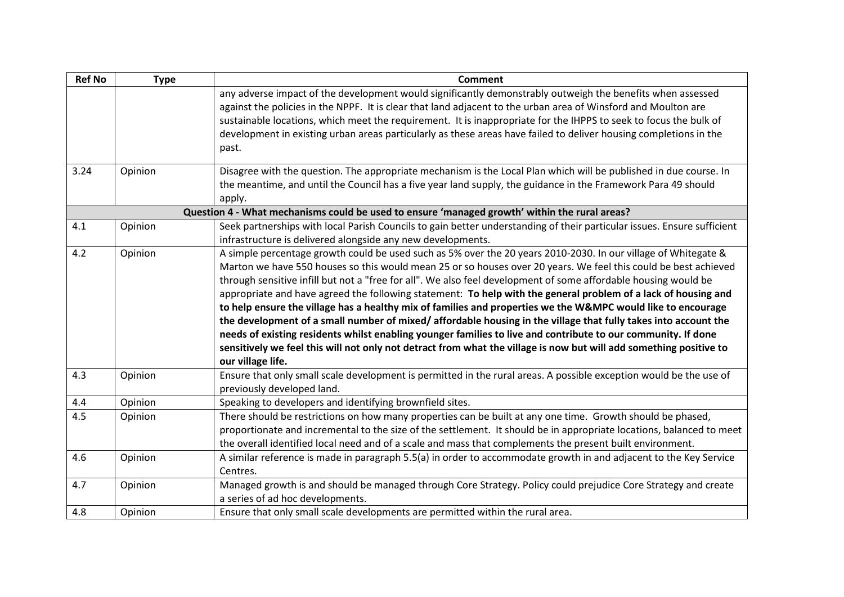| <b>Ref No</b> | <b>Type</b> | <b>Comment</b>                                                                                                                                                                                                                                                                                                                                                                                                                                                                                                                                                                                                                                                                                                                                                                                                                                                                                                                                                        |
|---------------|-------------|-----------------------------------------------------------------------------------------------------------------------------------------------------------------------------------------------------------------------------------------------------------------------------------------------------------------------------------------------------------------------------------------------------------------------------------------------------------------------------------------------------------------------------------------------------------------------------------------------------------------------------------------------------------------------------------------------------------------------------------------------------------------------------------------------------------------------------------------------------------------------------------------------------------------------------------------------------------------------|
|               |             | any adverse impact of the development would significantly demonstrably outweigh the benefits when assessed<br>against the policies in the NPPF. It is clear that land adjacent to the urban area of Winsford and Moulton are<br>sustainable locations, which meet the requirement. It is inappropriate for the IHPPS to seek to focus the bulk of<br>development in existing urban areas particularly as these areas have failed to deliver housing completions in the<br>past.                                                                                                                                                                                                                                                                                                                                                                                                                                                                                       |
| 3.24          | Opinion     | Disagree with the question. The appropriate mechanism is the Local Plan which will be published in due course. In<br>the meantime, and until the Council has a five year land supply, the guidance in the Framework Para 49 should<br>apply.                                                                                                                                                                                                                                                                                                                                                                                                                                                                                                                                                                                                                                                                                                                          |
|               |             | Question 4 - What mechanisms could be used to ensure 'managed growth' within the rural areas?                                                                                                                                                                                                                                                                                                                                                                                                                                                                                                                                                                                                                                                                                                                                                                                                                                                                         |
| 4.1           | Opinion     | Seek partnerships with local Parish Councils to gain better understanding of their particular issues. Ensure sufficient<br>infrastructure is delivered alongside any new developments.                                                                                                                                                                                                                                                                                                                                                                                                                                                                                                                                                                                                                                                                                                                                                                                |
| 4.2           | Opinion     | A simple percentage growth could be used such as 5% over the 20 years 2010-2030. In our village of Whitegate &<br>Marton we have 550 houses so this would mean 25 or so houses over 20 years. We feel this could be best achieved<br>through sensitive infill but not a "free for all". We also feel development of some affordable housing would be<br>appropriate and have agreed the following statement: To help with the general problem of a lack of housing and<br>to help ensure the village has a healthy mix of families and properties we the W&MPC would like to encourage<br>the development of a small number of mixed/ affordable housing in the village that fully takes into account the<br>needs of existing residents whilst enabling younger families to live and contribute to our community. If done<br>sensitively we feel this will not only not detract from what the village is now but will add something positive to<br>our village life. |
| 4.3           | Opinion     | Ensure that only small scale development is permitted in the rural areas. A possible exception would be the use of<br>previously developed land.                                                                                                                                                                                                                                                                                                                                                                                                                                                                                                                                                                                                                                                                                                                                                                                                                      |
| 4.4           | Opinion     | Speaking to developers and identifying brownfield sites.                                                                                                                                                                                                                                                                                                                                                                                                                                                                                                                                                                                                                                                                                                                                                                                                                                                                                                              |
| 4.5           | Opinion     | There should be restrictions on how many properties can be built at any one time. Growth should be phased,<br>proportionate and incremental to the size of the settlement. It should be in appropriate locations, balanced to meet<br>the overall identified local need and of a scale and mass that complements the present built environment.                                                                                                                                                                                                                                                                                                                                                                                                                                                                                                                                                                                                                       |
| 4.6           | Opinion     | A similar reference is made in paragraph 5.5(a) in order to accommodate growth in and adjacent to the Key Service<br>Centres.                                                                                                                                                                                                                                                                                                                                                                                                                                                                                                                                                                                                                                                                                                                                                                                                                                         |
| 4.7           | Opinion     | Managed growth is and should be managed through Core Strategy. Policy could prejudice Core Strategy and create<br>a series of ad hoc developments.                                                                                                                                                                                                                                                                                                                                                                                                                                                                                                                                                                                                                                                                                                                                                                                                                    |
| 4.8           | Opinion     | Ensure that only small scale developments are permitted within the rural area.                                                                                                                                                                                                                                                                                                                                                                                                                                                                                                                                                                                                                                                                                                                                                                                                                                                                                        |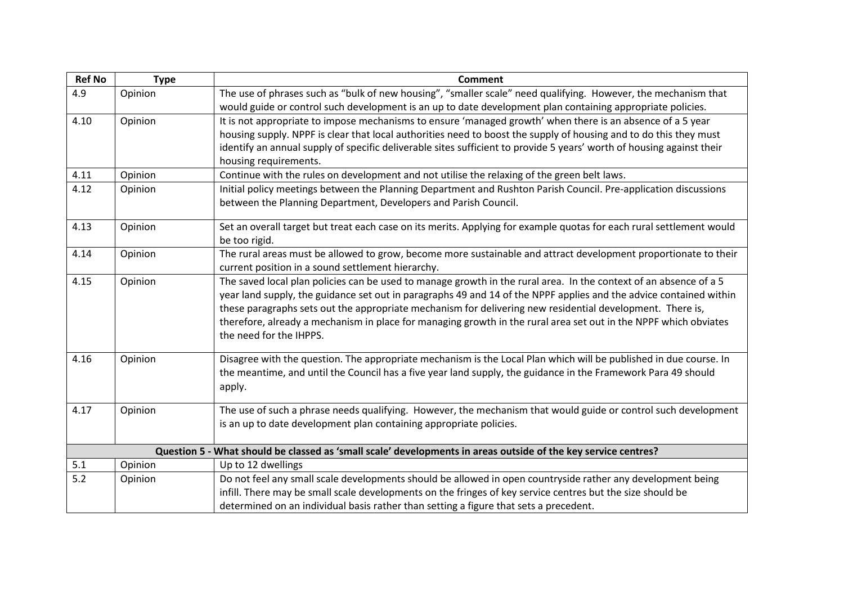| <b>Ref No</b> | <b>Type</b> | <b>Comment</b>                                                                                                        |
|---------------|-------------|-----------------------------------------------------------------------------------------------------------------------|
| 4.9           | Opinion     | The use of phrases such as "bulk of new housing", "smaller scale" need qualifying. However, the mechanism that        |
|               |             | would guide or control such development is an up to date development plan containing appropriate policies.            |
| 4.10          | Opinion     | It is not appropriate to impose mechanisms to ensure 'managed growth' when there is an absence of a 5 year            |
|               |             | housing supply. NPPF is clear that local authorities need to boost the supply of housing and to do this they must     |
|               |             | identify an annual supply of specific deliverable sites sufficient to provide 5 years' worth of housing against their |
|               |             | housing requirements.                                                                                                 |
| 4.11          | Opinion     | Continue with the rules on development and not utilise the relaxing of the green belt laws.                           |
| 4.12          | Opinion     | Initial policy meetings between the Planning Department and Rushton Parish Council. Pre-application discussions       |
|               |             | between the Planning Department, Developers and Parish Council.                                                       |
| 4.13          | Opinion     | Set an overall target but treat each case on its merits. Applying for example quotas for each rural settlement would  |
|               |             | be too rigid.                                                                                                         |
| 4.14          | Opinion     | The rural areas must be allowed to grow, become more sustainable and attract development proportionate to their       |
|               |             | current position in a sound settlement hierarchy.                                                                     |
| 4.15          | Opinion     | The saved local plan policies can be used to manage growth in the rural area. In the context of an absence of a 5     |
|               |             | year land supply, the guidance set out in paragraphs 49 and 14 of the NPPF applies and the advice contained within    |
|               |             | these paragraphs sets out the appropriate mechanism for delivering new residential development. There is,             |
|               |             | therefore, already a mechanism in place for managing growth in the rural area set out in the NPPF which obviates      |
|               |             | the need for the IHPPS.                                                                                               |
| 4.16          | Opinion     | Disagree with the question. The appropriate mechanism is the Local Plan which will be published in due course. In     |
|               |             | the meantime, and until the Council has a five year land supply, the guidance in the Framework Para 49 should         |
|               |             | apply.                                                                                                                |
|               |             |                                                                                                                       |
| 4.17          | Opinion     | The use of such a phrase needs qualifying. However, the mechanism that would guide or control such development        |
|               |             | is an up to date development plan containing appropriate policies.                                                    |
|               |             |                                                                                                                       |
|               |             | Question 5 - What should be classed as 'small scale' developments in areas outside of the key service centres?        |
| 5.1           | Opinion     | Up to 12 dwellings                                                                                                    |
| 5.2           | Opinion     | Do not feel any small scale developments should be allowed in open countryside rather any development being           |
|               |             | infill. There may be small scale developments on the fringes of key service centres but the size should be            |
|               |             | determined on an individual basis rather than setting a figure that sets a precedent.                                 |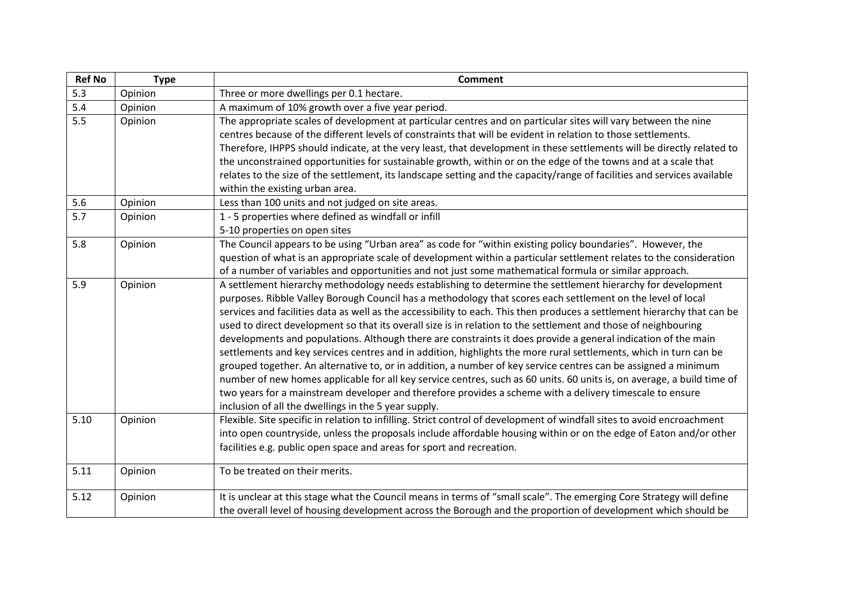| <b>Ref No</b> | <b>Type</b> | <b>Comment</b>                                                                                                                                                   |
|---------------|-------------|------------------------------------------------------------------------------------------------------------------------------------------------------------------|
| 5.3           | Opinion     | Three or more dwellings per 0.1 hectare.                                                                                                                         |
| 5.4           | Opinion     | A maximum of 10% growth over a five year period.                                                                                                                 |
| 5.5           | Opinion     | The appropriate scales of development at particular centres and on particular sites will vary between the nine                                                   |
|               |             | centres because of the different levels of constraints that will be evident in relation to those settlements.                                                    |
|               |             | Therefore, IHPPS should indicate, at the very least, that development in these settlements will be directly related to                                           |
|               |             | the unconstrained opportunities for sustainable growth, within or on the edge of the towns and at a scale that                                                   |
|               |             | relates to the size of the settlement, its landscape setting and the capacity/range of facilities and services available                                         |
|               |             | within the existing urban area.                                                                                                                                  |
| 5.6           | Opinion     | Less than 100 units and not judged on site areas.                                                                                                                |
| 5.7           | Opinion     | 1 - 5 properties where defined as windfall or infill                                                                                                             |
|               |             | 5-10 properties on open sites                                                                                                                                    |
| 5.8           | Opinion     | The Council appears to be using "Urban area" as code for "within existing policy boundaries". However, the                                                       |
|               |             | question of what is an appropriate scale of development within a particular settlement relates to the consideration                                              |
|               |             | of a number of variables and opportunities and not just some mathematical formula or similar approach.                                                           |
| 5.9           | Opinion     | A settlement hierarchy methodology needs establishing to determine the settlement hierarchy for development                                                      |
|               |             | purposes. Ribble Valley Borough Council has a methodology that scores each settlement on the level of local                                                      |
|               |             | services and facilities data as well as the accessibility to each. This then produces a settlement hierarchy that can be                                         |
|               |             | used to direct development so that its overall size is in relation to the settlement and those of neighbouring                                                   |
|               |             | developments and populations. Although there are constraints it does provide a general indication of the main                                                    |
|               |             | settlements and key services centres and in addition, highlights the more rural settlements, which in turn can be                                                |
|               |             | grouped together. An alternative to, or in addition, a number of key service centres can be assigned a minimum                                                   |
|               |             | number of new homes applicable for all key service centres, such as 60 units. 60 units is, on average, a build time of                                           |
|               |             | two years for a mainstream developer and therefore provides a scheme with a delivery timescale to ensure<br>inclusion of all the dwellings in the 5 year supply. |
| 5.10          | Opinion     | Flexible. Site specific in relation to infilling. Strict control of development of windfall sites to avoid encroachment                                          |
|               |             | into open countryside, unless the proposals include affordable housing within or on the edge of Eaton and/or other                                               |
|               |             | facilities e.g. public open space and areas for sport and recreation.                                                                                            |
|               |             |                                                                                                                                                                  |
| 5.11          | Opinion     | To be treated on their merits.                                                                                                                                   |
| 5.12          | Opinion     | It is unclear at this stage what the Council means in terms of "small scale". The emerging Core Strategy will define                                             |
|               |             | the overall level of housing development across the Borough and the proportion of development which should be                                                    |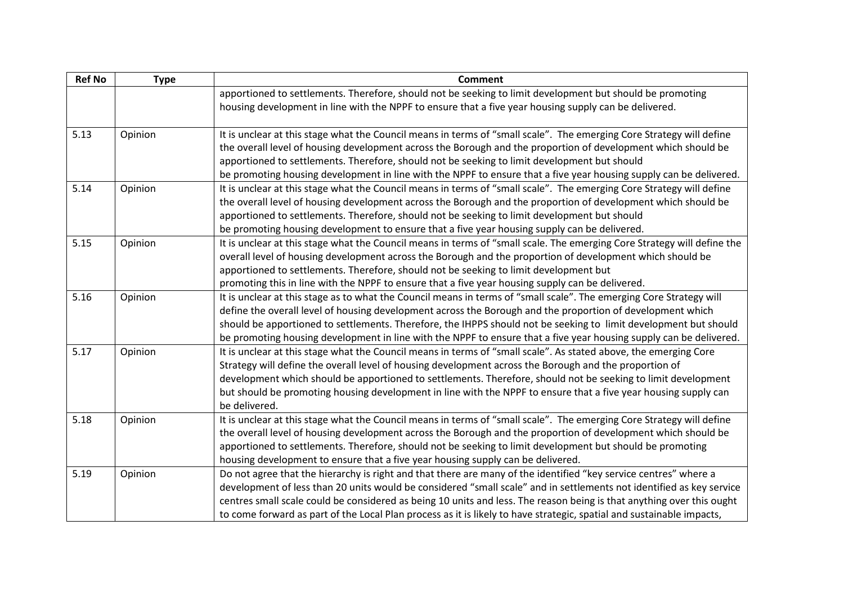| <b>Ref No</b> | <b>Type</b> | <b>Comment</b>                                                                                                                                                                                                                                                                                                                                                                                                                                                                             |
|---------------|-------------|--------------------------------------------------------------------------------------------------------------------------------------------------------------------------------------------------------------------------------------------------------------------------------------------------------------------------------------------------------------------------------------------------------------------------------------------------------------------------------------------|
|               |             | apportioned to settlements. Therefore, should not be seeking to limit development but should be promoting<br>housing development in line with the NPPF to ensure that a five year housing supply can be delivered.                                                                                                                                                                                                                                                                         |
| 5.13          | Opinion     | It is unclear at this stage what the Council means in terms of "small scale". The emerging Core Strategy will define<br>the overall level of housing development across the Borough and the proportion of development which should be<br>apportioned to settlements. Therefore, should not be seeking to limit development but should<br>be promoting housing development in line with the NPPF to ensure that a five year housing supply can be delivered.                                |
| 5.14          | Opinion     | It is unclear at this stage what the Council means in terms of "small scale". The emerging Core Strategy will define<br>the overall level of housing development across the Borough and the proportion of development which should be<br>apportioned to settlements. Therefore, should not be seeking to limit development but should<br>be promoting housing development to ensure that a five year housing supply can be delivered.                                                      |
| 5.15          | Opinion     | It is unclear at this stage what the Council means in terms of "small scale. The emerging Core Strategy will define the<br>overall level of housing development across the Borough and the proportion of development which should be<br>apportioned to settlements. Therefore, should not be seeking to limit development but<br>promoting this in line with the NPPF to ensure that a five year housing supply can be delivered.                                                          |
| 5.16          | Opinion     | It is unclear at this stage as to what the Council means in terms of "small scale". The emerging Core Strategy will<br>define the overall level of housing development across the Borough and the proportion of development which<br>should be apportioned to settlements. Therefore, the IHPPS should not be seeking to limit development but should<br>be promoting housing development in line with the NPPF to ensure that a five year housing supply can be delivered.                |
| 5.17          | Opinion     | It is unclear at this stage what the Council means in terms of "small scale". As stated above, the emerging Core<br>Strategy will define the overall level of housing development across the Borough and the proportion of<br>development which should be apportioned to settlements. Therefore, should not be seeking to limit development<br>but should be promoting housing development in line with the NPPF to ensure that a five year housing supply can<br>be delivered.            |
| 5.18          | Opinion     | It is unclear at this stage what the Council means in terms of "small scale". The emerging Core Strategy will define<br>the overall level of housing development across the Borough and the proportion of development which should be<br>apportioned to settlements. Therefore, should not be seeking to limit development but should be promoting<br>housing development to ensure that a five year housing supply can be delivered.                                                      |
| 5.19          | Opinion     | Do not agree that the hierarchy is right and that there are many of the identified "key service centres" where a<br>development of less than 20 units would be considered "small scale" and in settlements not identified as key service<br>centres small scale could be considered as being 10 units and less. The reason being is that anything over this ought<br>to come forward as part of the Local Plan process as it is likely to have strategic, spatial and sustainable impacts, |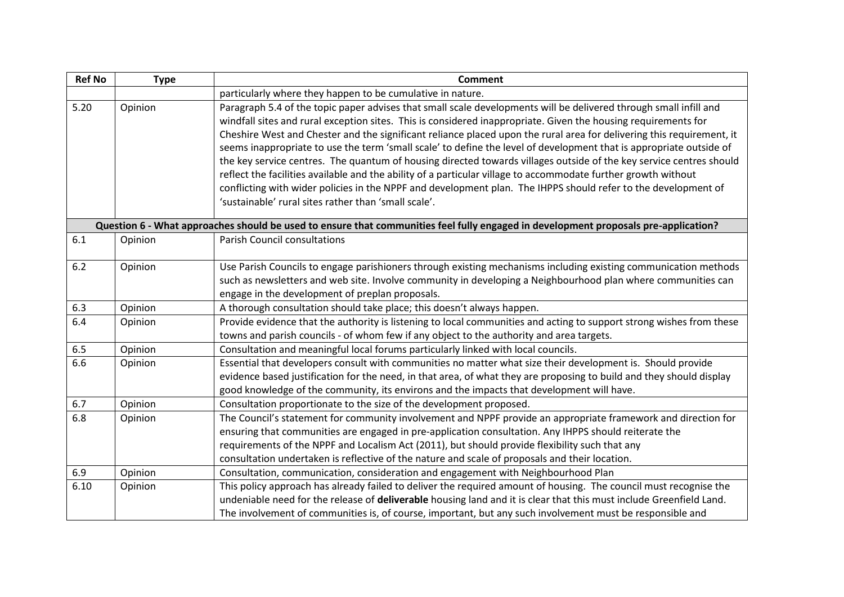| <b>Ref No</b> | <b>Type</b> | <b>Comment</b>                                                                                                                                                                                                                                                                                                                                                                                                                                                                                                                                                                                                                                                                                                                                                                                                                                                                                         |
|---------------|-------------|--------------------------------------------------------------------------------------------------------------------------------------------------------------------------------------------------------------------------------------------------------------------------------------------------------------------------------------------------------------------------------------------------------------------------------------------------------------------------------------------------------------------------------------------------------------------------------------------------------------------------------------------------------------------------------------------------------------------------------------------------------------------------------------------------------------------------------------------------------------------------------------------------------|
|               |             | particularly where they happen to be cumulative in nature.                                                                                                                                                                                                                                                                                                                                                                                                                                                                                                                                                                                                                                                                                                                                                                                                                                             |
| 5.20          | Opinion     | Paragraph 5.4 of the topic paper advises that small scale developments will be delivered through small infill and<br>windfall sites and rural exception sites. This is considered inappropriate. Given the housing requirements for<br>Cheshire West and Chester and the significant reliance placed upon the rural area for delivering this requirement, it<br>seems inappropriate to use the term 'small scale' to define the level of development that is appropriate outside of<br>the key service centres. The quantum of housing directed towards villages outside of the key service centres should<br>reflect the facilities available and the ability of a particular village to accommodate further growth without<br>conflicting with wider policies in the NPPF and development plan. The IHPPS should refer to the development of<br>'sustainable' rural sites rather than 'small scale'. |
|               |             | Question 6 - What approaches should be used to ensure that communities feel fully engaged in development proposals pre-application?                                                                                                                                                                                                                                                                                                                                                                                                                                                                                                                                                                                                                                                                                                                                                                    |
| 6.1           | Opinion     | <b>Parish Council consultations</b>                                                                                                                                                                                                                                                                                                                                                                                                                                                                                                                                                                                                                                                                                                                                                                                                                                                                    |
| 6.2           | Opinion     | Use Parish Councils to engage parishioners through existing mechanisms including existing communication methods<br>such as newsletters and web site. Involve community in developing a Neighbourhood plan where communities can<br>engage in the development of preplan proposals.                                                                                                                                                                                                                                                                                                                                                                                                                                                                                                                                                                                                                     |
| 6.3           | Opinion     | A thorough consultation should take place; this doesn't always happen.                                                                                                                                                                                                                                                                                                                                                                                                                                                                                                                                                                                                                                                                                                                                                                                                                                 |
| 6.4           | Opinion     | Provide evidence that the authority is listening to local communities and acting to support strong wishes from these<br>towns and parish councils - of whom few if any object to the authority and area targets.                                                                                                                                                                                                                                                                                                                                                                                                                                                                                                                                                                                                                                                                                       |
| 6.5           | Opinion     | Consultation and meaningful local forums particularly linked with local councils.                                                                                                                                                                                                                                                                                                                                                                                                                                                                                                                                                                                                                                                                                                                                                                                                                      |
| 6.6           | Opinion     | Essential that developers consult with communities no matter what size their development is. Should provide<br>evidence based justification for the need, in that area, of what they are proposing to build and they should display<br>good knowledge of the community, its environs and the impacts that development will have.                                                                                                                                                                                                                                                                                                                                                                                                                                                                                                                                                                       |
| 6.7           | Opinion     | Consultation proportionate to the size of the development proposed.                                                                                                                                                                                                                                                                                                                                                                                                                                                                                                                                                                                                                                                                                                                                                                                                                                    |
| 6.8           | Opinion     | The Council's statement for community involvement and NPPF provide an appropriate framework and direction for<br>ensuring that communities are engaged in pre-application consultation. Any IHPPS should reiterate the<br>requirements of the NPPF and Localism Act (2011), but should provide flexibility such that any<br>consultation undertaken is reflective of the nature and scale of proposals and their location.                                                                                                                                                                                                                                                                                                                                                                                                                                                                             |
| 6.9           | Opinion     | Consultation, communication, consideration and engagement with Neighbourhood Plan                                                                                                                                                                                                                                                                                                                                                                                                                                                                                                                                                                                                                                                                                                                                                                                                                      |
| 6.10          | Opinion     | This policy approach has already failed to deliver the required amount of housing. The council must recognise the<br>undeniable need for the release of deliverable housing land and it is clear that this must include Greenfield Land.<br>The involvement of communities is, of course, important, but any such involvement must be responsible and                                                                                                                                                                                                                                                                                                                                                                                                                                                                                                                                                  |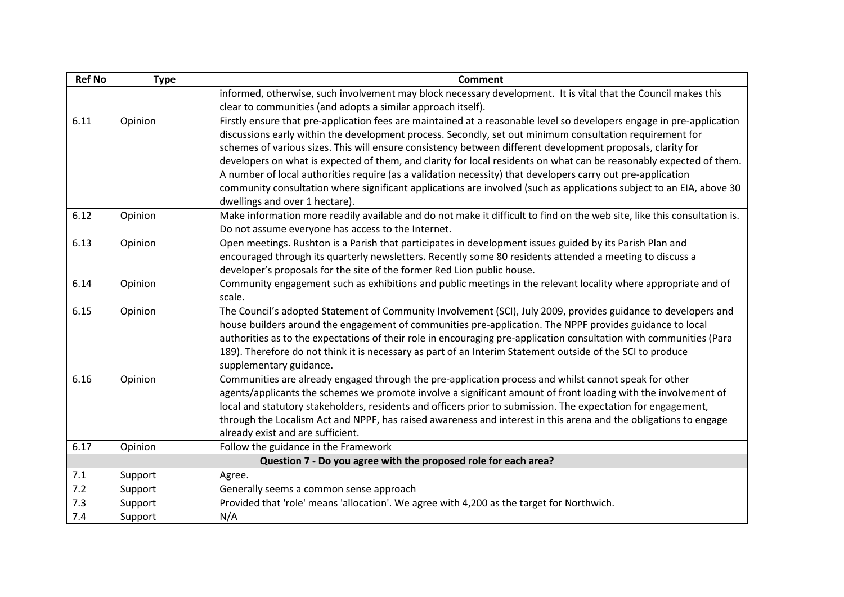| <b>Ref No</b> | <b>Type</b> | <b>Comment</b>                                                                                                           |
|---------------|-------------|--------------------------------------------------------------------------------------------------------------------------|
|               |             | informed, otherwise, such involvement may block necessary development. It is vital that the Council makes this           |
|               |             | clear to communities (and adopts a similar approach itself).                                                             |
| 6.11          | Opinion     | Firstly ensure that pre-application fees are maintained at a reasonable level so developers engage in pre-application    |
|               |             | discussions early within the development process. Secondly, set out minimum consultation requirement for                 |
|               |             | schemes of various sizes. This will ensure consistency between different development proposals, clarity for              |
|               |             | developers on what is expected of them, and clarity for local residents on what can be reasonably expected of them.      |
|               |             | A number of local authorities require (as a validation necessity) that developers carry out pre-application              |
|               |             | community consultation where significant applications are involved (such as applications subject to an EIA, above 30     |
|               |             | dwellings and over 1 hectare).                                                                                           |
| 6.12          | Opinion     | Make information more readily available and do not make it difficult to find on the web site, like this consultation is. |
|               |             | Do not assume everyone has access to the Internet.                                                                       |
| 6.13          | Opinion     | Open meetings. Rushton is a Parish that participates in development issues guided by its Parish Plan and                 |
|               |             | encouraged through its quarterly newsletters. Recently some 80 residents attended a meeting to discuss a                 |
|               |             | developer's proposals for the site of the former Red Lion public house.                                                  |
| 6.14          | Opinion     | Community engagement such as exhibitions and public meetings in the relevant locality where appropriate and of           |
|               |             | scale.                                                                                                                   |
| 6.15          | Opinion     | The Council's adopted Statement of Community Involvement (SCI), July 2009, provides guidance to developers and           |
|               |             | house builders around the engagement of communities pre-application. The NPPF provides guidance to local                 |
|               |             | authorities as to the expectations of their role in encouraging pre-application consultation with communities (Para      |
|               |             | 189). Therefore do not think it is necessary as part of an Interim Statement outside of the SCI to produce               |
|               |             | supplementary guidance.                                                                                                  |
| 6.16          | Opinion     | Communities are already engaged through the pre-application process and whilst cannot speak for other                    |
|               |             | agents/applicants the schemes we promote involve a significant amount of front loading with the involvement of           |
|               |             | local and statutory stakeholders, residents and officers prior to submission. The expectation for engagement,            |
|               |             | through the Localism Act and NPPF, has raised awareness and interest in this arena and the obligations to engage         |
|               |             | already exist and are sufficient.                                                                                        |
| 6.17          | Opinion     | Follow the guidance in the Framework                                                                                     |
|               |             | Question 7 - Do you agree with the proposed role for each area?                                                          |
| 7.1           | Support     | Agree.                                                                                                                   |
| 7.2           | Support     | Generally seems a common sense approach                                                                                  |
| 7.3           | Support     | Provided that 'role' means 'allocation'. We agree with 4,200 as the target for Northwich.                                |
| 7.4           | Support     | N/A                                                                                                                      |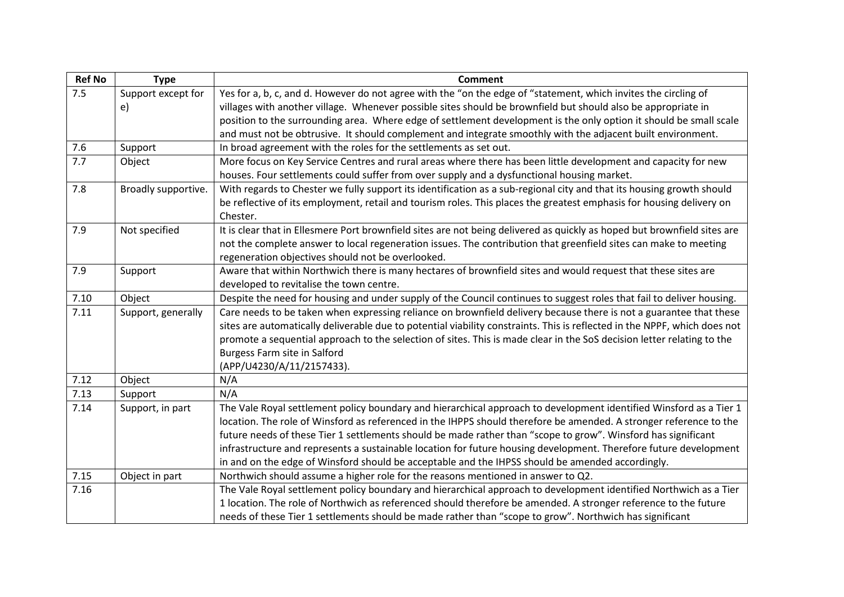| <b>Ref No</b> | <b>Type</b>         | <b>Comment</b>                                                                                                            |
|---------------|---------------------|---------------------------------------------------------------------------------------------------------------------------|
| 7.5           | Support except for  | Yes for a, b, c, and d. However do not agree with the "on the edge of "statement, which invites the circling of           |
|               | e)                  | villages with another village. Whenever possible sites should be brownfield but should also be appropriate in             |
|               |                     | position to the surrounding area. Where edge of settlement development is the only option it should be small scale        |
|               |                     | and must not be obtrusive. It should complement and integrate smoothly with the adjacent built environment.               |
| 7.6           | Support             | In broad agreement with the roles for the settlements as set out.                                                         |
| 7.7           | Object              | More focus on Key Service Centres and rural areas where there has been little development and capacity for new            |
|               |                     | houses. Four settlements could suffer from over supply and a dysfunctional housing market.                                |
| 7.8           | Broadly supportive. | With regards to Chester we fully support its identification as a sub-regional city and that its housing growth should     |
|               |                     | be reflective of its employment, retail and tourism roles. This places the greatest emphasis for housing delivery on      |
|               |                     | Chester.                                                                                                                  |
| 7.9           | Not specified       | It is clear that in Ellesmere Port brownfield sites are not being delivered as quickly as hoped but brownfield sites are  |
|               |                     | not the complete answer to local regeneration issues. The contribution that greenfield sites can make to meeting          |
|               |                     | regeneration objectives should not be overlooked.                                                                         |
| 7.9           | Support             | Aware that within Northwich there is many hectares of brownfield sites and would request that these sites are             |
|               |                     | developed to revitalise the town centre.                                                                                  |
| 7.10          | Object              | Despite the need for housing and under supply of the Council continues to suggest roles that fail to deliver housing.     |
| 7.11          | Support, generally  | Care needs to be taken when expressing reliance on brownfield delivery because there is not a guarantee that these        |
|               |                     | sites are automatically deliverable due to potential viability constraints. This is reflected in the NPPF, which does not |
|               |                     | promote a sequential approach to the selection of sites. This is made clear in the SoS decision letter relating to the    |
|               |                     | Burgess Farm site in Salford                                                                                              |
|               |                     | (APP/U4230/A/11/2157433).                                                                                                 |
| 7.12          | Object              | N/A                                                                                                                       |
| 7.13          | Support             | N/A                                                                                                                       |
| 7.14          | Support, in part    | The Vale Royal settlement policy boundary and hierarchical approach to development identified Winsford as a Tier 1        |
|               |                     | location. The role of Winsford as referenced in the IHPPS should therefore be amended. A stronger reference to the        |
|               |                     | future needs of these Tier 1 settlements should be made rather than "scope to grow". Winsford has significant             |
|               |                     | infrastructure and represents a sustainable location for future housing development. Therefore future development         |
|               |                     | in and on the edge of Winsford should be acceptable and the IHPSS should be amended accordingly.                          |
| 7.15          | Object in part      | Northwich should assume a higher role for the reasons mentioned in answer to Q2.                                          |
| 7.16          |                     | The Vale Royal settlement policy boundary and hierarchical approach to development identified Northwich as a Tier         |
|               |                     | 1 location. The role of Northwich as referenced should therefore be amended. A stronger reference to the future           |
|               |                     | needs of these Tier 1 settlements should be made rather than "scope to grow". Northwich has significant                   |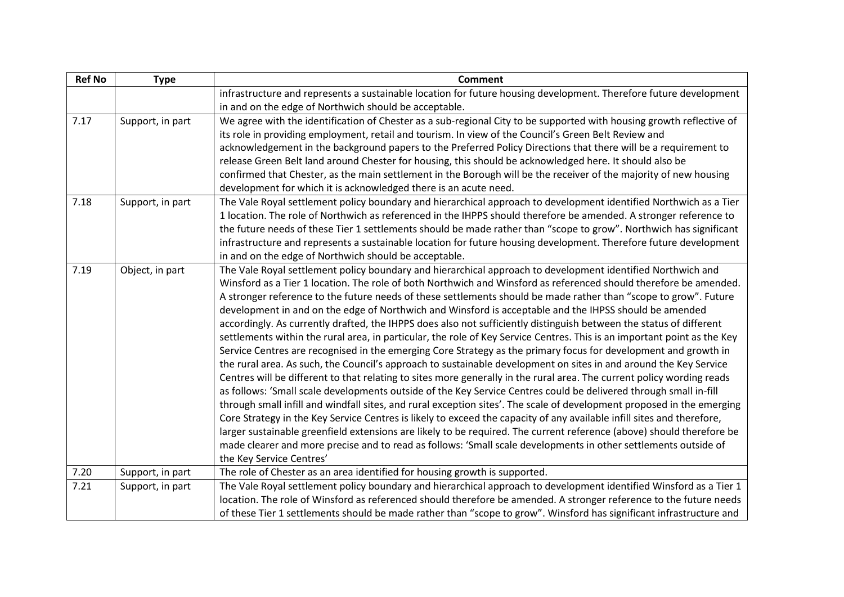| <b>Ref No</b> | <b>Type</b>      | <b>Comment</b>                                                                                                           |
|---------------|------------------|--------------------------------------------------------------------------------------------------------------------------|
|               |                  | infrastructure and represents a sustainable location for future housing development. Therefore future development        |
|               |                  | in and on the edge of Northwich should be acceptable.                                                                    |
| 7.17          | Support, in part | We agree with the identification of Chester as a sub-regional City to be supported with housing growth reflective of     |
|               |                  | its role in providing employment, retail and tourism. In view of the Council's Green Belt Review and                     |
|               |                  | acknowledgement in the background papers to the Preferred Policy Directions that there will be a requirement to          |
|               |                  | release Green Belt land around Chester for housing, this should be acknowledged here. It should also be                  |
|               |                  | confirmed that Chester, as the main settlement in the Borough will be the receiver of the majority of new housing        |
|               |                  | development for which it is acknowledged there is an acute need.                                                         |
| 7.18          | Support, in part | The Vale Royal settlement policy boundary and hierarchical approach to development identified Northwich as a Tier        |
|               |                  | 1 location. The role of Northwich as referenced in the IHPPS should therefore be amended. A stronger reference to        |
|               |                  | the future needs of these Tier 1 settlements should be made rather than "scope to grow". Northwich has significant       |
|               |                  | infrastructure and represents a sustainable location for future housing development. Therefore future development        |
|               |                  | in and on the edge of Northwich should be acceptable.                                                                    |
| 7.19          | Object, in part  | The Vale Royal settlement policy boundary and hierarchical approach to development identified Northwich and              |
|               |                  | Winsford as a Tier 1 location. The role of both Northwich and Winsford as referenced should therefore be amended.        |
|               |                  | A stronger reference to the future needs of these settlements should be made rather than "scope to grow". Future         |
|               |                  | development in and on the edge of Northwich and Winsford is acceptable and the IHPSS should be amended                   |
|               |                  | accordingly. As currently drafted, the IHPPS does also not sufficiently distinguish between the status of different      |
|               |                  | settlements within the rural area, in particular, the role of Key Service Centres. This is an important point as the Key |
|               |                  | Service Centres are recognised in the emerging Core Strategy as the primary focus for development and growth in          |
|               |                  | the rural area. As such, the Council's approach to sustainable development on sites in and around the Key Service        |
|               |                  | Centres will be different to that relating to sites more generally in the rural area. The current policy wording reads   |
|               |                  | as follows: 'Small scale developments outside of the Key Service Centres could be delivered through small in-fill        |
|               |                  | through small infill and windfall sites, and rural exception sites'. The scale of development proposed in the emerging   |
|               |                  | Core Strategy in the Key Service Centres is likely to exceed the capacity of any available infill sites and therefore,   |
|               |                  | larger sustainable greenfield extensions are likely to be required. The current reference (above) should therefore be    |
|               |                  | made clearer and more precise and to read as follows: 'Small scale developments in other settlements outside of          |
|               |                  | the Key Service Centres'                                                                                                 |
| 7.20          | Support, in part | The role of Chester as an area identified for housing growth is supported.                                               |
| 7.21          | Support, in part | The Vale Royal settlement policy boundary and hierarchical approach to development identified Winsford as a Tier 1       |
|               |                  | location. The role of Winsford as referenced should therefore be amended. A stronger reference to the future needs       |
|               |                  | of these Tier 1 settlements should be made rather than "scope to grow". Winsford has significant infrastructure and      |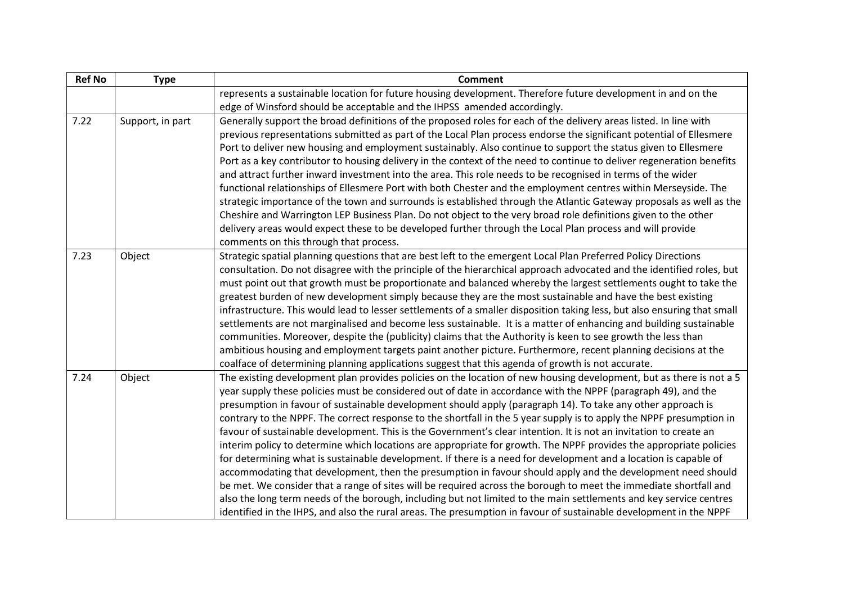| <b>Ref No</b> | <b>Type</b>      | <b>Comment</b>                                                                                                                                                                                                                                                                                                                                                                                                                                                                                                                                                                                                                                                                                                                                                                                                                                                                                                                                                                                                                                                                                                                                                                                                                                                                                                             |
|---------------|------------------|----------------------------------------------------------------------------------------------------------------------------------------------------------------------------------------------------------------------------------------------------------------------------------------------------------------------------------------------------------------------------------------------------------------------------------------------------------------------------------------------------------------------------------------------------------------------------------------------------------------------------------------------------------------------------------------------------------------------------------------------------------------------------------------------------------------------------------------------------------------------------------------------------------------------------------------------------------------------------------------------------------------------------------------------------------------------------------------------------------------------------------------------------------------------------------------------------------------------------------------------------------------------------------------------------------------------------|
|               |                  | represents a sustainable location for future housing development. Therefore future development in and on the                                                                                                                                                                                                                                                                                                                                                                                                                                                                                                                                                                                                                                                                                                                                                                                                                                                                                                                                                                                                                                                                                                                                                                                                               |
|               |                  | edge of Winsford should be acceptable and the IHPSS amended accordingly.                                                                                                                                                                                                                                                                                                                                                                                                                                                                                                                                                                                                                                                                                                                                                                                                                                                                                                                                                                                                                                                                                                                                                                                                                                                   |
| 7.22          | Support, in part | Generally support the broad definitions of the proposed roles for each of the delivery areas listed. In line with<br>previous representations submitted as part of the Local Plan process endorse the significant potential of Ellesmere<br>Port to deliver new housing and employment sustainably. Also continue to support the status given to Ellesmere<br>Port as a key contributor to housing delivery in the context of the need to continue to deliver regeneration benefits<br>and attract further inward investment into the area. This role needs to be recognised in terms of the wider<br>functional relationships of Ellesmere Port with both Chester and the employment centres within Merseyside. The<br>strategic importance of the town and surrounds is established through the Atlantic Gateway proposals as well as the<br>Cheshire and Warrington LEP Business Plan. Do not object to the very broad role definitions given to the other<br>delivery areas would expect these to be developed further through the Local Plan process and will provide<br>comments on this through that process.                                                                                                                                                                                                       |
| 7.23          | Object           | Strategic spatial planning questions that are best left to the emergent Local Plan Preferred Policy Directions<br>consultation. Do not disagree with the principle of the hierarchical approach advocated and the identified roles, but<br>must point out that growth must be proportionate and balanced whereby the largest settlements ought to take the<br>greatest burden of new development simply because they are the most sustainable and have the best existing<br>infrastructure. This would lead to lesser settlements of a smaller disposition taking less, but also ensuring that small<br>settlements are not marginalised and become less sustainable. It is a matter of enhancing and building sustainable<br>communities. Moreover, despite the (publicity) claims that the Authority is keen to see growth the less than<br>ambitious housing and employment targets paint another picture. Furthermore, recent planning decisions at the<br>coalface of determining planning applications suggest that this agenda of growth is not accurate.                                                                                                                                                                                                                                                           |
| 7.24          | Object           | The existing development plan provides policies on the location of new housing development, but as there is not a 5<br>year supply these policies must be considered out of date in accordance with the NPPF (paragraph 49), and the<br>presumption in favour of sustainable development should apply (paragraph 14). To take any other approach is<br>contrary to the NPPF. The correct response to the shortfall in the 5 year supply is to apply the NPPF presumption in<br>favour of sustainable development. This is the Government's clear intention. It is not an invitation to create an<br>interim policy to determine which locations are appropriate for growth. The NPPF provides the appropriate policies<br>for determining what is sustainable development. If there is a need for development and a location is capable of<br>accommodating that development, then the presumption in favour should apply and the development need should<br>be met. We consider that a range of sites will be required across the borough to meet the immediate shortfall and<br>also the long term needs of the borough, including but not limited to the main settlements and key service centres<br>identified in the IHPS, and also the rural areas. The presumption in favour of sustainable development in the NPPF |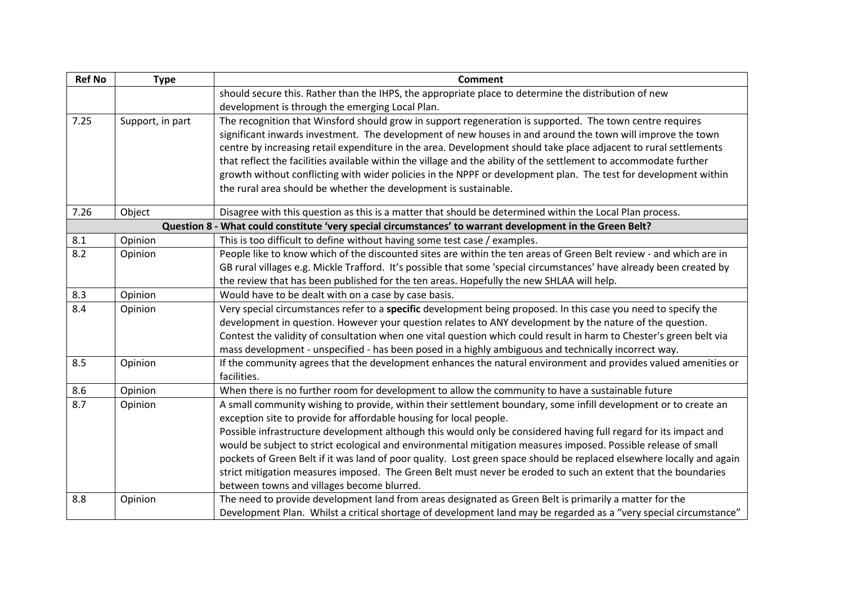| <b>Ref No</b> | <b>Type</b>      | <b>Comment</b>                                                                                                        |
|---------------|------------------|-----------------------------------------------------------------------------------------------------------------------|
|               |                  | should secure this. Rather than the IHPS, the appropriate place to determine the distribution of new                  |
|               |                  | development is through the emerging Local Plan.                                                                       |
| 7.25          | Support, in part | The recognition that Winsford should grow in support regeneration is supported. The town centre requires              |
|               |                  | significant inwards investment. The development of new houses in and around the town will improve the town            |
|               |                  | centre by increasing retail expenditure in the area. Development should take place adjacent to rural settlements      |
|               |                  | that reflect the facilities available within the village and the ability of the settlement to accommodate further     |
|               |                  | growth without conflicting with wider policies in the NPPF or development plan. The test for development within       |
|               |                  | the rural area should be whether the development is sustainable.                                                      |
| 7.26          | Object           | Disagree with this question as this is a matter that should be determined within the Local Plan process.              |
|               |                  | Question 8 - What could constitute 'very special circumstances' to warrant development in the Green Belt?             |
| 8.1           | Opinion          | This is too difficult to define without having some test case / examples.                                             |
| 8.2           | Opinion          | People like to know which of the discounted sites are within the ten areas of Green Belt review - and which are in    |
|               |                  | GB rural villages e.g. Mickle Trafford. It's possible that some 'special circumstances' have already been created by  |
|               |                  | the review that has been published for the ten areas. Hopefully the new SHLAA will help.                              |
| 8.3           | Opinion          | Would have to be dealt with on a case by case basis.                                                                  |
| 8.4           | Opinion          | Very special circumstances refer to a specific development being proposed. In this case you need to specify the       |
|               |                  | development in question. However your question relates to ANY development by the nature of the question.              |
|               |                  | Contest the validity of consultation when one vital question which could result in harm to Chester's green belt via   |
|               |                  | mass development - unspecified - has been posed in a highly ambiguous and technically incorrect way.                  |
| 8.5           | Opinion          | If the community agrees that the development enhances the natural environment and provides valued amenities or        |
|               |                  | facilities.                                                                                                           |
| 8.6           | Opinion          | When there is no further room for development to allow the community to have a sustainable future                     |
| 8.7           | Opinion          | A small community wishing to provide, within their settlement boundary, some infill development or to create an       |
|               |                  | exception site to provide for affordable housing for local people.                                                    |
|               |                  | Possible infrastructure development although this would only be considered having full regard for its impact and      |
|               |                  | would be subject to strict ecological and environmental mitigation measures imposed. Possible release of small        |
|               |                  | pockets of Green Belt if it was land of poor quality. Lost green space should be replaced elsewhere locally and again |
|               |                  | strict mitigation measures imposed. The Green Belt must never be eroded to such an extent that the boundaries         |
|               |                  | between towns and villages become blurred.                                                                            |
| 8.8           | Opinion          | The need to provide development land from areas designated as Green Belt is primarily a matter for the                |
|               |                  | Development Plan. Whilst a critical shortage of development land may be regarded as a "very special circumstance"     |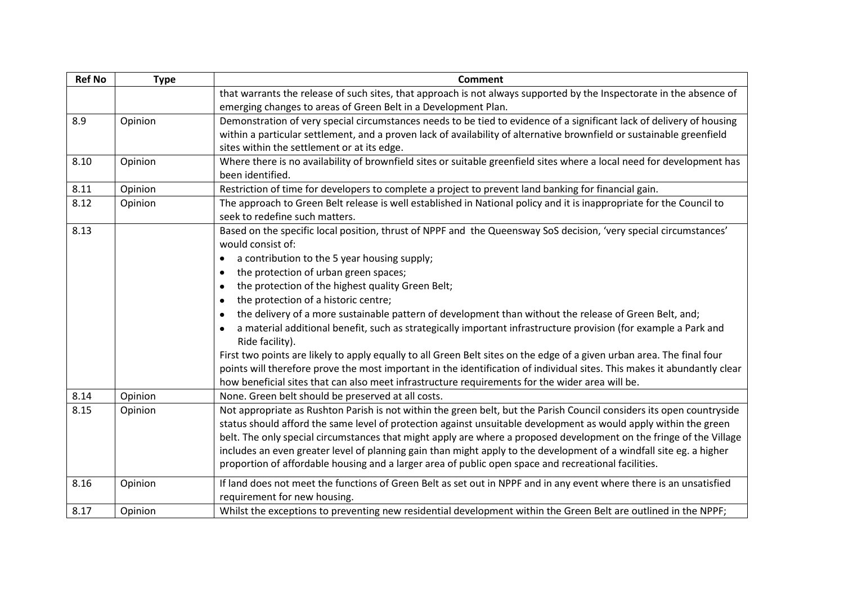| <b>Ref No</b> | <b>Type</b> | Comment                                                                                                                  |
|---------------|-------------|--------------------------------------------------------------------------------------------------------------------------|
|               |             | that warrants the release of such sites, that approach is not always supported by the Inspectorate in the absence of     |
|               |             | emerging changes to areas of Green Belt in a Development Plan.                                                           |
| 8.9           | Opinion     | Demonstration of very special circumstances needs to be tied to evidence of a significant lack of delivery of housing    |
|               |             | within a particular settlement, and a proven lack of availability of alternative brownfield or sustainable greenfield    |
|               |             | sites within the settlement or at its edge.                                                                              |
| 8.10          | Opinion     | Where there is no availability of brownfield sites or suitable greenfield sites where a local need for development has   |
|               |             | been identified.                                                                                                         |
| 8.11          | Opinion     | Restriction of time for developers to complete a project to prevent land banking for financial gain.                     |
| 8.12          | Opinion     | The approach to Green Belt release is well established in National policy and it is inappropriate for the Council to     |
|               |             | seek to redefine such matters.                                                                                           |
| 8.13          |             | Based on the specific local position, thrust of NPPF and the Queensway SoS decision, 'very special circumstances'        |
|               |             | would consist of:                                                                                                        |
|               |             | a contribution to the 5 year housing supply;                                                                             |
|               |             | the protection of urban green spaces;<br>$\bullet$                                                                       |
|               |             | the protection of the highest quality Green Belt;<br>$\bullet$                                                           |
|               |             | the protection of a historic centre;<br>$\bullet$                                                                        |
|               |             | the delivery of a more sustainable pattern of development than without the release of Green Belt, and;<br>$\bullet$      |
|               |             | a material additional benefit, such as strategically important infrastructure provision (for example a Park and          |
|               |             | Ride facility).                                                                                                          |
|               |             | First two points are likely to apply equally to all Green Belt sites on the edge of a given urban area. The final four   |
|               |             | points will therefore prove the most important in the identification of individual sites. This makes it abundantly clear |
|               |             | how beneficial sites that can also meet infrastructure requirements for the wider area will be.                          |
| 8.14          | Opinion     | None. Green belt should be preserved at all costs.                                                                       |
| 8.15          | Opinion     | Not appropriate as Rushton Parish is not within the green belt, but the Parish Council considers its open countryside    |
|               |             | status should afford the same level of protection against unsuitable development as would apply within the green         |
|               |             | belt. The only special circumstances that might apply are where a proposed development on the fringe of the Village      |
|               |             | includes an even greater level of planning gain than might apply to the development of a windfall site eg. a higher      |
|               |             | proportion of affordable housing and a larger area of public open space and recreational facilities.                     |
| 8.16          | Opinion     | If land does not meet the functions of Green Belt as set out in NPPF and in any event where there is an unsatisfied      |
|               |             | requirement for new housing.                                                                                             |
| 8.17          | Opinion     | Whilst the exceptions to preventing new residential development within the Green Belt are outlined in the NPPF;          |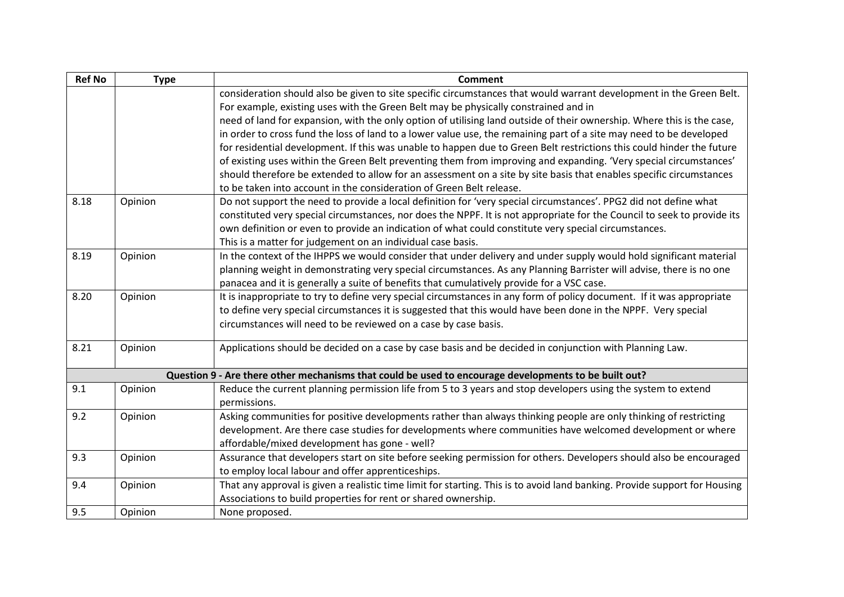| <b>Ref No</b> | <b>Type</b> | <b>Comment</b>                                                                                                             |
|---------------|-------------|----------------------------------------------------------------------------------------------------------------------------|
|               |             | consideration should also be given to site specific circumstances that would warrant development in the Green Belt.        |
|               |             | For example, existing uses with the Green Belt may be physically constrained and in                                        |
|               |             | need of land for expansion, with the only option of utilising land outside of their ownership. Where this is the case,     |
|               |             | in order to cross fund the loss of land to a lower value use, the remaining part of a site may need to be developed        |
|               |             | for residential development. If this was unable to happen due to Green Belt restrictions this could hinder the future      |
|               |             | of existing uses within the Green Belt preventing them from improving and expanding. 'Very special circumstances'          |
|               |             | should therefore be extended to allow for an assessment on a site by site basis that enables specific circumstances        |
|               |             | to be taken into account in the consideration of Green Belt release.                                                       |
| 8.18          | Opinion     | Do not support the need to provide a local definition for 'very special circumstances'. PPG2 did not define what           |
|               |             | constituted very special circumstances, nor does the NPPF. It is not appropriate for the Council to seek to provide its    |
|               |             | own definition or even to provide an indication of what could constitute very special circumstances.                       |
|               |             | This is a matter for judgement on an individual case basis.                                                                |
| 8.19          | Opinion     | In the context of the IHPPS we would consider that under delivery and under supply would hold significant material         |
|               |             | planning weight in demonstrating very special circumstances. As any Planning Barrister will advise, there is no one        |
|               |             | panacea and it is generally a suite of benefits that cumulatively provide for a VSC case.                                  |
| 8.20          | Opinion     | It is inappropriate to try to define very special circumstances in any form of policy document. If it was appropriate      |
|               |             | to define very special circumstances it is suggested that this would have been done in the NPPF. Very special              |
|               |             | circumstances will need to be reviewed on a case by case basis.                                                            |
| 8.21          | Opinion     | Applications should be decided on a case by case basis and be decided in conjunction with Planning Law.                    |
|               |             |                                                                                                                            |
|               |             | Question 9 - Are there other mechanisms that could be used to encourage developments to be built out?                      |
| 9.1           | Opinion     | Reduce the current planning permission life from 5 to 3 years and stop developers using the system to extend               |
|               |             | permissions.                                                                                                               |
| 9.2           | Opinion     | Asking communities for positive developments rather than always thinking people are only thinking of restricting           |
|               |             | development. Are there case studies for developments where communities have welcomed development or where                  |
|               |             | affordable/mixed development has gone - well?                                                                              |
| 9.3           | Opinion     | Assurance that developers start on site before seeking permission for others. Developers should also be encouraged         |
|               |             | to employ local labour and offer apprenticeships.                                                                          |
| 9.4           | Opinion     | That any approval is given a realistic time limit for starting. This is to avoid land banking. Provide support for Housing |
|               |             | Associations to build properties for rent or shared ownership.                                                             |
| 9.5           | Opinion     | None proposed.                                                                                                             |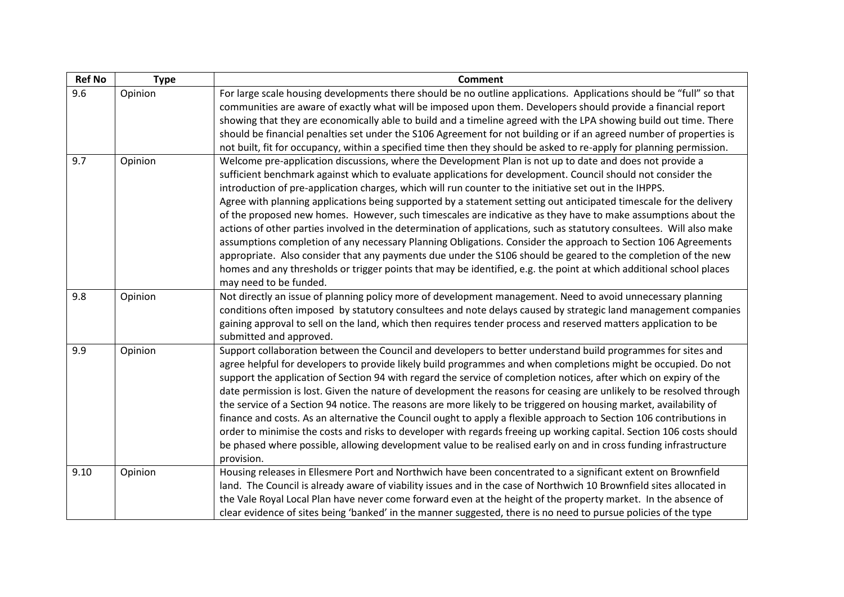| <b>Ref No</b> | <b>Type</b> | <b>Comment</b>                                                                                                                                                                                                                                                                                                                                                                                                                                                                                                                                                                                                                                                                                                                                                                                                                                                                                                                                                                                                                                                                        |
|---------------|-------------|---------------------------------------------------------------------------------------------------------------------------------------------------------------------------------------------------------------------------------------------------------------------------------------------------------------------------------------------------------------------------------------------------------------------------------------------------------------------------------------------------------------------------------------------------------------------------------------------------------------------------------------------------------------------------------------------------------------------------------------------------------------------------------------------------------------------------------------------------------------------------------------------------------------------------------------------------------------------------------------------------------------------------------------------------------------------------------------|
| 9.6           | Opinion     | For large scale housing developments there should be no outline applications. Applications should be "full" so that<br>communities are aware of exactly what will be imposed upon them. Developers should provide a financial report<br>showing that they are economically able to build and a timeline agreed with the LPA showing build out time. There<br>should be financial penalties set under the S106 Agreement for not building or if an agreed number of properties is<br>not built, fit for occupancy, within a specified time then they should be asked to re-apply for planning permission.                                                                                                                                                                                                                                                                                                                                                                                                                                                                              |
| 9.7           | Opinion     | Welcome pre-application discussions, where the Development Plan is not up to date and does not provide a<br>sufficient benchmark against which to evaluate applications for development. Council should not consider the<br>introduction of pre-application charges, which will run counter to the initiative set out in the IHPPS.<br>Agree with planning applications being supported by a statement setting out anticipated timescale for the delivery<br>of the proposed new homes. However, such timescales are indicative as they have to make assumptions about the<br>actions of other parties involved in the determination of applications, such as statutory consultees. Will also make<br>assumptions completion of any necessary Planning Obligations. Consider the approach to Section 106 Agreements<br>appropriate. Also consider that any payments due under the S106 should be geared to the completion of the new<br>homes and any thresholds or trigger points that may be identified, e.g. the point at which additional school places<br>may need to be funded. |
| 9.8           | Opinion     | Not directly an issue of planning policy more of development management. Need to avoid unnecessary planning<br>conditions often imposed by statutory consultees and note delays caused by strategic land management companies<br>gaining approval to sell on the land, which then requires tender process and reserved matters application to be<br>submitted and approved.                                                                                                                                                                                                                                                                                                                                                                                                                                                                                                                                                                                                                                                                                                           |
| 9.9           | Opinion     | Support collaboration between the Council and developers to better understand build programmes for sites and<br>agree helpful for developers to provide likely build programmes and when completions might be occupied. Do not<br>support the application of Section 94 with regard the service of completion notices, after which on expiry of the<br>date permission is lost. Given the nature of development the reasons for ceasing are unlikely to be resolved through<br>the service of a Section 94 notice. The reasons are more likely to be triggered on housing market, availability of<br>finance and costs. As an alternative the Council ought to apply a flexible approach to Section 106 contributions in<br>order to minimise the costs and risks to developer with regards freeing up working capital. Section 106 costs should<br>be phased where possible, allowing development value to be realised early on and in cross funding infrastructure<br>provision.                                                                                                    |
| 9.10          | Opinion     | Housing releases in Ellesmere Port and Northwich have been concentrated to a significant extent on Brownfield<br>land. The Council is already aware of viability issues and in the case of Northwich 10 Brownfield sites allocated in<br>the Vale Royal Local Plan have never come forward even at the height of the property market. In the absence of<br>clear evidence of sites being 'banked' in the manner suggested, there is no need to pursue policies of the type                                                                                                                                                                                                                                                                                                                                                                                                                                                                                                                                                                                                            |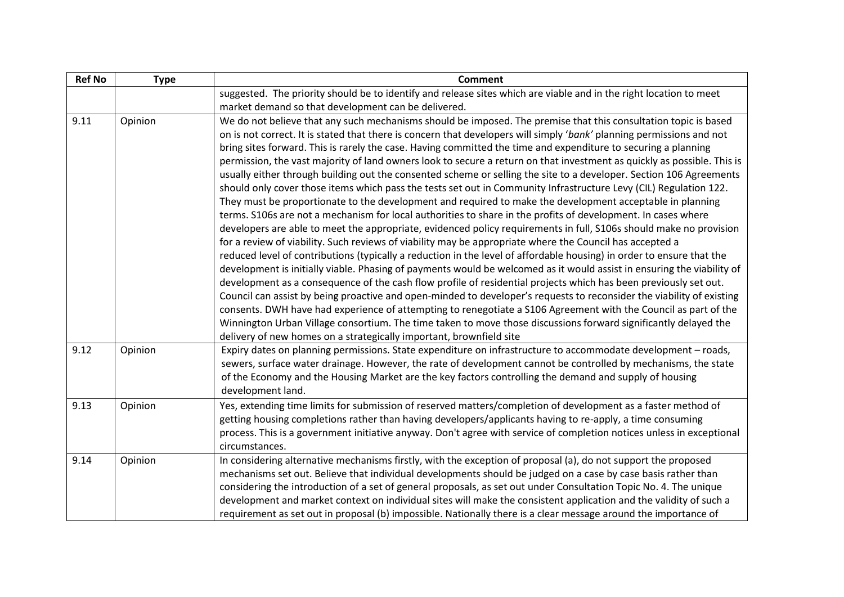| <b>Ref No</b> | <b>Type</b> | <b>Comment</b>                                                                                                                                                                                                                                                                                                                                                                                                                                                                                                                                                                                                                                                                                                                                                                                                                                                                                                                                                                                                                                                                                                                                                                                                                                                                                                                                                                                                                                                                                                                                                                                                                                                                                                                                                                                                                                                                                                                                                                                                 |
|---------------|-------------|----------------------------------------------------------------------------------------------------------------------------------------------------------------------------------------------------------------------------------------------------------------------------------------------------------------------------------------------------------------------------------------------------------------------------------------------------------------------------------------------------------------------------------------------------------------------------------------------------------------------------------------------------------------------------------------------------------------------------------------------------------------------------------------------------------------------------------------------------------------------------------------------------------------------------------------------------------------------------------------------------------------------------------------------------------------------------------------------------------------------------------------------------------------------------------------------------------------------------------------------------------------------------------------------------------------------------------------------------------------------------------------------------------------------------------------------------------------------------------------------------------------------------------------------------------------------------------------------------------------------------------------------------------------------------------------------------------------------------------------------------------------------------------------------------------------------------------------------------------------------------------------------------------------------------------------------------------------------------------------------------------------|
|               |             | suggested. The priority should be to identify and release sites which are viable and in the right location to meet                                                                                                                                                                                                                                                                                                                                                                                                                                                                                                                                                                                                                                                                                                                                                                                                                                                                                                                                                                                                                                                                                                                                                                                                                                                                                                                                                                                                                                                                                                                                                                                                                                                                                                                                                                                                                                                                                             |
|               |             | market demand so that development can be delivered.                                                                                                                                                                                                                                                                                                                                                                                                                                                                                                                                                                                                                                                                                                                                                                                                                                                                                                                                                                                                                                                                                                                                                                                                                                                                                                                                                                                                                                                                                                                                                                                                                                                                                                                                                                                                                                                                                                                                                            |
| 9.11          | Opinion     | We do not believe that any such mechanisms should be imposed. The premise that this consultation topic is based<br>on is not correct. It is stated that there is concern that developers will simply 'bank' planning permissions and not<br>bring sites forward. This is rarely the case. Having committed the time and expenditure to securing a planning<br>permission, the vast majority of land owners look to secure a return on that investment as quickly as possible. This is<br>usually either through building out the consented scheme or selling the site to a developer. Section 106 Agreements<br>should only cover those items which pass the tests set out in Community Infrastructure Levy (CIL) Regulation 122.<br>They must be proportionate to the development and required to make the development acceptable in planning<br>terms. S106s are not a mechanism for local authorities to share in the profits of development. In cases where<br>developers are able to meet the appropriate, evidenced policy requirements in full, S106s should make no provision<br>for a review of viability. Such reviews of viability may be appropriate where the Council has accepted a<br>reduced level of contributions (typically a reduction in the level of affordable housing) in order to ensure that the<br>development is initially viable. Phasing of payments would be welcomed as it would assist in ensuring the viability of<br>development as a consequence of the cash flow profile of residential projects which has been previously set out.<br>Council can assist by being proactive and open-minded to developer's requests to reconsider the viability of existing<br>consents. DWH have had experience of attempting to renegotiate a S106 Agreement with the Council as part of the<br>Winnington Urban Village consortium. The time taken to move those discussions forward significantly delayed the<br>delivery of new homes on a strategically important, brownfield site |
| 9.12          | Opinion     | Expiry dates on planning permissions. State expenditure on infrastructure to accommodate development - roads,<br>sewers, surface water drainage. However, the rate of development cannot be controlled by mechanisms, the state<br>of the Economy and the Housing Market are the key factors controlling the demand and supply of housing<br>development land.                                                                                                                                                                                                                                                                                                                                                                                                                                                                                                                                                                                                                                                                                                                                                                                                                                                                                                                                                                                                                                                                                                                                                                                                                                                                                                                                                                                                                                                                                                                                                                                                                                                 |
| 9.13          | Opinion     | Yes, extending time limits for submission of reserved matters/completion of development as a faster method of<br>getting housing completions rather than having developers/applicants having to re-apply, a time consuming<br>process. This is a government initiative anyway. Don't agree with service of completion notices unless in exceptional<br>circumstances.                                                                                                                                                                                                                                                                                                                                                                                                                                                                                                                                                                                                                                                                                                                                                                                                                                                                                                                                                                                                                                                                                                                                                                                                                                                                                                                                                                                                                                                                                                                                                                                                                                          |
| 9.14          | Opinion     | In considering alternative mechanisms firstly, with the exception of proposal (a), do not support the proposed<br>mechanisms set out. Believe that individual developments should be judged on a case by case basis rather than<br>considering the introduction of a set of general proposals, as set out under Consultation Topic No. 4. The unique<br>development and market context on individual sites will make the consistent application and the validity of such a<br>requirement as set out in proposal (b) impossible. Nationally there is a clear message around the importance of                                                                                                                                                                                                                                                                                                                                                                                                                                                                                                                                                                                                                                                                                                                                                                                                                                                                                                                                                                                                                                                                                                                                                                                                                                                                                                                                                                                                                  |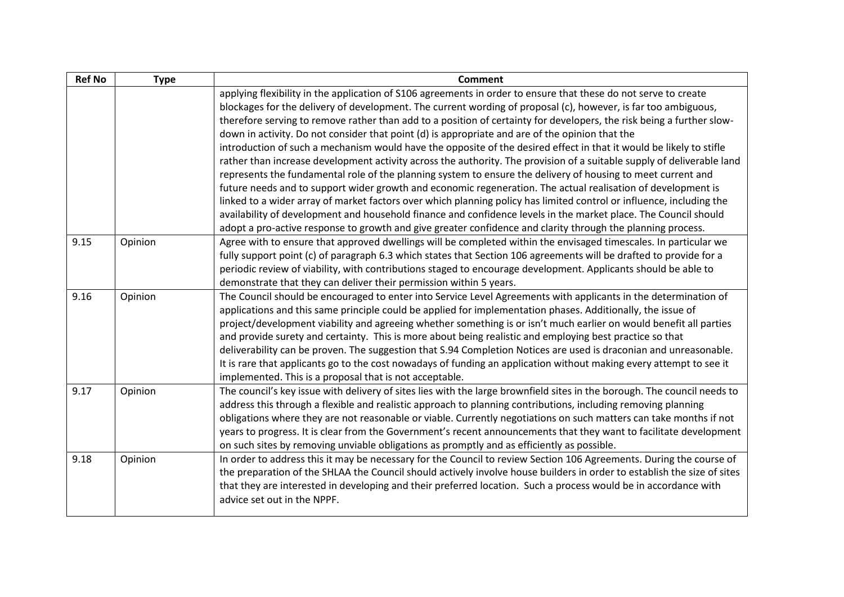| <b>Ref No</b> | <b>Type</b> | <b>Comment</b>                                                                                                           |
|---------------|-------------|--------------------------------------------------------------------------------------------------------------------------|
|               |             | applying flexibility in the application of S106 agreements in order to ensure that these do not serve to create          |
|               |             | blockages for the delivery of development. The current wording of proposal (c), however, is far too ambiguous,           |
|               |             | therefore serving to remove rather than add to a position of certainty for developers, the risk being a further slow-    |
|               |             | down in activity. Do not consider that point (d) is appropriate and are of the opinion that the                          |
|               |             | introduction of such a mechanism would have the opposite of the desired effect in that it would be likely to stifle      |
|               |             | rather than increase development activity across the authority. The provision of a suitable supply of deliverable land   |
|               |             | represents the fundamental role of the planning system to ensure the delivery of housing to meet current and             |
|               |             | future needs and to support wider growth and economic regeneration. The actual realisation of development is             |
|               |             | linked to a wider array of market factors over which planning policy has limited control or influence, including the     |
|               |             | availability of development and household finance and confidence levels in the market place. The Council should          |
|               |             | adopt a pro-active response to growth and give greater confidence and clarity through the planning process.              |
| 9.15          | Opinion     | Agree with to ensure that approved dwellings will be completed within the envisaged timescales. In particular we         |
|               |             | fully support point (c) of paragraph 6.3 which states that Section 106 agreements will be drafted to provide for a       |
|               |             | periodic review of viability, with contributions staged to encourage development. Applicants should be able to           |
|               |             | demonstrate that they can deliver their permission within 5 years.                                                       |
| 9.16          | Opinion     | The Council should be encouraged to enter into Service Level Agreements with applicants in the determination of          |
|               |             | applications and this same principle could be applied for implementation phases. Additionally, the issue of              |
|               |             | project/development viability and agreeing whether something is or isn't much earlier on would benefit all parties       |
|               |             | and provide surety and certainty. This is more about being realistic and employing best practice so that                 |
|               |             | deliverability can be proven. The suggestion that S.94 Completion Notices are used is draconian and unreasonable.        |
|               |             | It is rare that applicants go to the cost nowadays of funding an application without making every attempt to see it      |
|               |             | implemented. This is a proposal that is not acceptable.                                                                  |
| 9.17          | Opinion     | The council's key issue with delivery of sites lies with the large brownfield sites in the borough. The council needs to |
|               |             | address this through a flexible and realistic approach to planning contributions, including removing planning            |
|               |             | obligations where they are not reasonable or viable. Currently negotiations on such matters can take months if not       |
|               |             | years to progress. It is clear from the Government's recent announcements that they want to facilitate development       |
|               |             | on such sites by removing unviable obligations as promptly and as efficiently as possible.                               |
| 9.18          | Opinion     | In order to address this it may be necessary for the Council to review Section 106 Agreements. During the course of      |
|               |             | the preparation of the SHLAA the Council should actively involve house builders in order to establish the size of sites  |
|               |             | that they are interested in developing and their preferred location. Such a process would be in accordance with          |
|               |             | advice set out in the NPPF.                                                                                              |
|               |             |                                                                                                                          |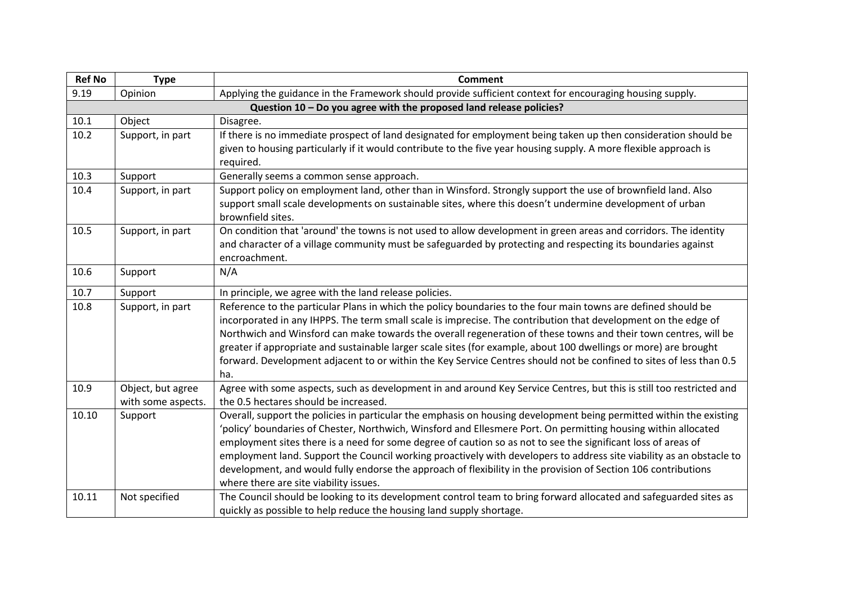| <b>Ref No</b> | <b>Type</b>                                                         | <b>Comment</b>                                                                                                       |  |  |
|---------------|---------------------------------------------------------------------|----------------------------------------------------------------------------------------------------------------------|--|--|
| 9.19          | Opinion                                                             | Applying the guidance in the Framework should provide sufficient context for encouraging housing supply.             |  |  |
|               | Question 10 - Do you agree with the proposed land release policies? |                                                                                                                      |  |  |
| 10.1          | Object                                                              | Disagree.                                                                                                            |  |  |
| 10.2          | Support, in part                                                    | If there is no immediate prospect of land designated for employment being taken up then consideration should be      |  |  |
|               |                                                                     | given to housing particularly if it would contribute to the five year housing supply. A more flexible approach is    |  |  |
|               |                                                                     | required.                                                                                                            |  |  |
| 10.3          | Support                                                             | Generally seems a common sense approach.                                                                             |  |  |
| 10.4          | Support, in part                                                    | Support policy on employment land, other than in Winsford. Strongly support the use of brownfield land. Also         |  |  |
|               |                                                                     | support small scale developments on sustainable sites, where this doesn't undermine development of urban             |  |  |
|               |                                                                     | brownfield sites.                                                                                                    |  |  |
| 10.5          | Support, in part                                                    | On condition that 'around' the towns is not used to allow development in green areas and corridors. The identity     |  |  |
|               |                                                                     | and character of a village community must be safeguarded by protecting and respecting its boundaries against         |  |  |
|               |                                                                     | encroachment.                                                                                                        |  |  |
| 10.6          | Support                                                             | N/A                                                                                                                  |  |  |
| 10.7          | Support                                                             | In principle, we agree with the land release policies.                                                               |  |  |
| 10.8          | Support, in part                                                    | Reference to the particular Plans in which the policy boundaries to the four main towns are defined should be        |  |  |
|               |                                                                     | incorporated in any IHPPS. The term small scale is imprecise. The contribution that development on the edge of       |  |  |
|               |                                                                     | Northwich and Winsford can make towards the overall regeneration of these towns and their town centres, will be      |  |  |
|               |                                                                     | greater if appropriate and sustainable larger scale sites (for example, about 100 dwellings or more) are brought     |  |  |
|               |                                                                     | forward. Development adjacent to or within the Key Service Centres should not be confined to sites of less than 0.5  |  |  |
|               |                                                                     | ha.                                                                                                                  |  |  |
| 10.9          | Object, but agree                                                   | Agree with some aspects, such as development in and around Key Service Centres, but this is still too restricted and |  |  |
|               | with some aspects.                                                  | the 0.5 hectares should be increased.                                                                                |  |  |
| 10.10         | Support                                                             | Overall, support the policies in particular the emphasis on housing development being permitted within the existing  |  |  |
|               |                                                                     | 'policy' boundaries of Chester, Northwich, Winsford and Ellesmere Port. On permitting housing within allocated       |  |  |
|               |                                                                     | employment sites there is a need for some degree of caution so as not to see the significant loss of areas of        |  |  |
|               |                                                                     | employment land. Support the Council working proactively with developers to address site viability as an obstacle to |  |  |
|               |                                                                     | development, and would fully endorse the approach of flexibility in the provision of Section 106 contributions       |  |  |
|               |                                                                     | where there are site viability issues.                                                                               |  |  |
| 10.11         | Not specified                                                       | The Council should be looking to its development control team to bring forward allocated and safeguarded sites as    |  |  |
|               |                                                                     | quickly as possible to help reduce the housing land supply shortage.                                                 |  |  |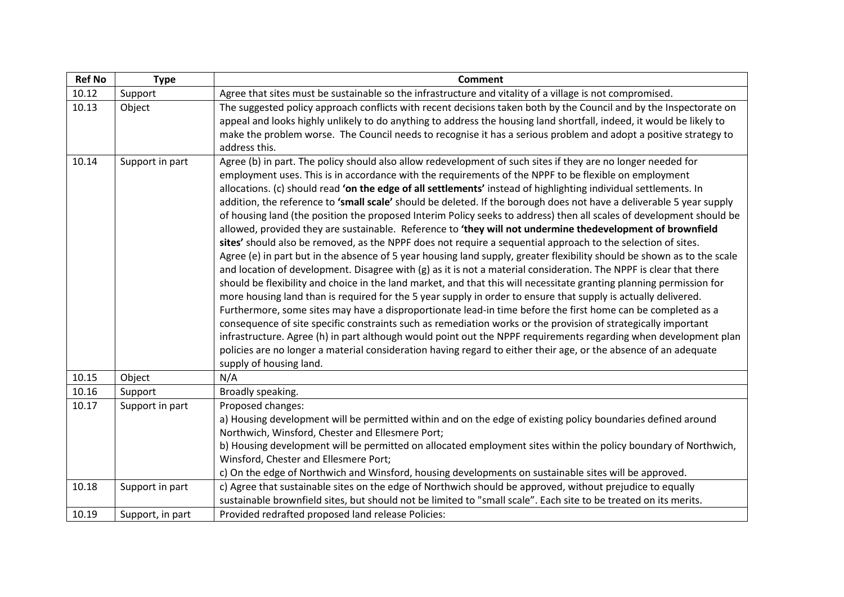| <b>Ref No</b> | <b>Type</b>      | <b>Comment</b>                                                                                                                                                                                                                                                                                                                                                                                                                                                                                                                                                                                                                                                                                                                                                                                                                                                                                                                                                                                                                                                                                                                                                                                                                                                                                                                                                                                                                                                                                                                                                                                                                                                                                                                                                                                                          |
|---------------|------------------|-------------------------------------------------------------------------------------------------------------------------------------------------------------------------------------------------------------------------------------------------------------------------------------------------------------------------------------------------------------------------------------------------------------------------------------------------------------------------------------------------------------------------------------------------------------------------------------------------------------------------------------------------------------------------------------------------------------------------------------------------------------------------------------------------------------------------------------------------------------------------------------------------------------------------------------------------------------------------------------------------------------------------------------------------------------------------------------------------------------------------------------------------------------------------------------------------------------------------------------------------------------------------------------------------------------------------------------------------------------------------------------------------------------------------------------------------------------------------------------------------------------------------------------------------------------------------------------------------------------------------------------------------------------------------------------------------------------------------------------------------------------------------------------------------------------------------|
| 10.12         | Support          | Agree that sites must be sustainable so the infrastructure and vitality of a village is not compromised.                                                                                                                                                                                                                                                                                                                                                                                                                                                                                                                                                                                                                                                                                                                                                                                                                                                                                                                                                                                                                                                                                                                                                                                                                                                                                                                                                                                                                                                                                                                                                                                                                                                                                                                |
| 10.13         | Object           | The suggested policy approach conflicts with recent decisions taken both by the Council and by the Inspectorate on<br>appeal and looks highly unlikely to do anything to address the housing land shortfall, indeed, it would be likely to<br>make the problem worse. The Council needs to recognise it has a serious problem and adopt a positive strategy to<br>address this.                                                                                                                                                                                                                                                                                                                                                                                                                                                                                                                                                                                                                                                                                                                                                                                                                                                                                                                                                                                                                                                                                                                                                                                                                                                                                                                                                                                                                                         |
| 10.14         | Support in part  | Agree (b) in part. The policy should also allow redevelopment of such sites if they are no longer needed for<br>employment uses. This is in accordance with the requirements of the NPPF to be flexible on employment<br>allocations. (c) should read 'on the edge of all settlements' instead of highlighting individual settlements. In<br>addition, the reference to 'small scale' should be deleted. If the borough does not have a deliverable 5 year supply<br>of housing land (the position the proposed Interim Policy seeks to address) then all scales of development should be<br>allowed, provided they are sustainable. Reference to 'they will not undermine thedevelopment of brownfield<br>sites' should also be removed, as the NPPF does not require a sequential approach to the selection of sites.<br>Agree (e) in part but in the absence of 5 year housing land supply, greater flexibility should be shown as to the scale<br>and location of development. Disagree with (g) as it is not a material consideration. The NPPF is clear that there<br>should be flexibility and choice in the land market, and that this will necessitate granting planning permission for<br>more housing land than is required for the 5 year supply in order to ensure that supply is actually delivered.<br>Furthermore, some sites may have a disproportionate lead-in time before the first home can be completed as a<br>consequence of site specific constraints such as remediation works or the provision of strategically important<br>infrastructure. Agree (h) in part although would point out the NPPF requirements regarding when development plan<br>policies are no longer a material consideration having regard to either their age, or the absence of an adequate<br>supply of housing land. |
| 10.15         | Object           | N/A                                                                                                                                                                                                                                                                                                                                                                                                                                                                                                                                                                                                                                                                                                                                                                                                                                                                                                                                                                                                                                                                                                                                                                                                                                                                                                                                                                                                                                                                                                                                                                                                                                                                                                                                                                                                                     |
| 10.16         | Support          | Broadly speaking.                                                                                                                                                                                                                                                                                                                                                                                                                                                                                                                                                                                                                                                                                                                                                                                                                                                                                                                                                                                                                                                                                                                                                                                                                                                                                                                                                                                                                                                                                                                                                                                                                                                                                                                                                                                                       |
| 10.17         | Support in part  | Proposed changes:                                                                                                                                                                                                                                                                                                                                                                                                                                                                                                                                                                                                                                                                                                                                                                                                                                                                                                                                                                                                                                                                                                                                                                                                                                                                                                                                                                                                                                                                                                                                                                                                                                                                                                                                                                                                       |
|               |                  | a) Housing development will be permitted within and on the edge of existing policy boundaries defined around<br>Northwich, Winsford, Chester and Ellesmere Port;<br>b) Housing development will be permitted on allocated employment sites within the policy boundary of Northwich,<br>Winsford, Chester and Ellesmere Port;<br>c) On the edge of Northwich and Winsford, housing developments on sustainable sites will be approved.                                                                                                                                                                                                                                                                                                                                                                                                                                                                                                                                                                                                                                                                                                                                                                                                                                                                                                                                                                                                                                                                                                                                                                                                                                                                                                                                                                                   |
| 10.18         | Support in part  | c) Agree that sustainable sites on the edge of Northwich should be approved, without prejudice to equally<br>sustainable brownfield sites, but should not be limited to "small scale". Each site to be treated on its merits.                                                                                                                                                                                                                                                                                                                                                                                                                                                                                                                                                                                                                                                                                                                                                                                                                                                                                                                                                                                                                                                                                                                                                                                                                                                                                                                                                                                                                                                                                                                                                                                           |
| 10.19         | Support, in part | Provided redrafted proposed land release Policies:                                                                                                                                                                                                                                                                                                                                                                                                                                                                                                                                                                                                                                                                                                                                                                                                                                                                                                                                                                                                                                                                                                                                                                                                                                                                                                                                                                                                                                                                                                                                                                                                                                                                                                                                                                      |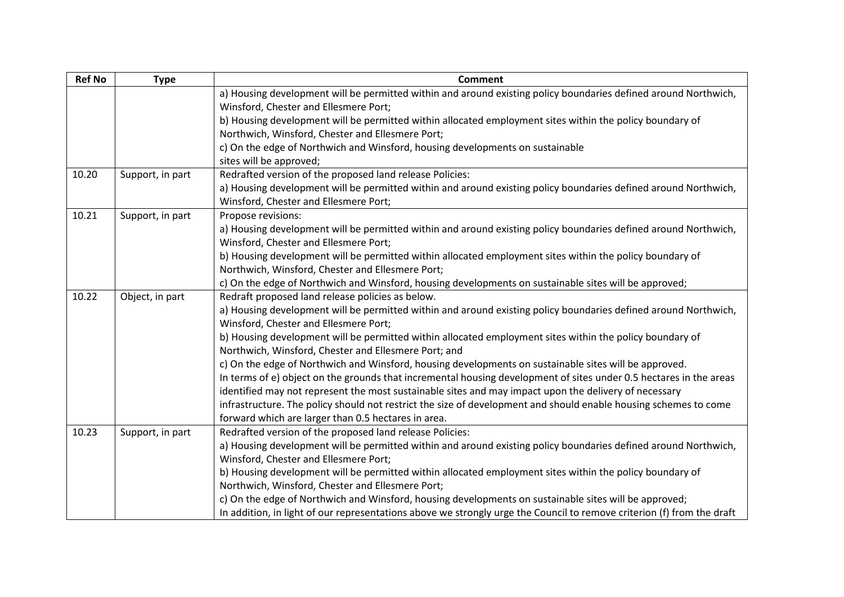| <b>Ref No</b> | <b>Type</b>      | <b>Comment</b>                                                                                                         |
|---------------|------------------|------------------------------------------------------------------------------------------------------------------------|
|               |                  | a) Housing development will be permitted within and around existing policy boundaries defined around Northwich,        |
|               |                  | Winsford, Chester and Ellesmere Port;                                                                                  |
|               |                  | b) Housing development will be permitted within allocated employment sites within the policy boundary of               |
|               |                  | Northwich, Winsford, Chester and Ellesmere Port;                                                                       |
|               |                  | c) On the edge of Northwich and Winsford, housing developments on sustainable                                          |
|               |                  | sites will be approved;                                                                                                |
| 10.20         | Support, in part | Redrafted version of the proposed land release Policies:                                                               |
|               |                  | a) Housing development will be permitted within and around existing policy boundaries defined around Northwich,        |
|               |                  | Winsford, Chester and Ellesmere Port;                                                                                  |
| 10.21         | Support, in part | Propose revisions:                                                                                                     |
|               |                  | a) Housing development will be permitted within and around existing policy boundaries defined around Northwich,        |
|               |                  | Winsford, Chester and Ellesmere Port;                                                                                  |
|               |                  | b) Housing development will be permitted within allocated employment sites within the policy boundary of               |
|               |                  | Northwich, Winsford, Chester and Ellesmere Port;                                                                       |
|               |                  | c) On the edge of Northwich and Winsford, housing developments on sustainable sites will be approved;                  |
| 10.22         | Object, in part  | Redraft proposed land release policies as below.                                                                       |
|               |                  | a) Housing development will be permitted within and around existing policy boundaries defined around Northwich,        |
|               |                  | Winsford, Chester and Ellesmere Port;                                                                                  |
|               |                  | b) Housing development will be permitted within allocated employment sites within the policy boundary of               |
|               |                  | Northwich, Winsford, Chester and Ellesmere Port; and                                                                   |
|               |                  | c) On the edge of Northwich and Winsford, housing developments on sustainable sites will be approved.                  |
|               |                  | In terms of e) object on the grounds that incremental housing development of sites under 0.5 hectares in the areas     |
|               |                  | identified may not represent the most sustainable sites and may impact upon the delivery of necessary                  |
|               |                  | infrastructure. The policy should not restrict the size of development and should enable housing schemes to come       |
|               |                  | forward which are larger than 0.5 hectares in area.                                                                    |
| 10.23         | Support, in part | Redrafted version of the proposed land release Policies:                                                               |
|               |                  | a) Housing development will be permitted within and around existing policy boundaries defined around Northwich,        |
|               |                  | Winsford, Chester and Ellesmere Port;                                                                                  |
|               |                  | b) Housing development will be permitted within allocated employment sites within the policy boundary of               |
|               |                  | Northwich, Winsford, Chester and Ellesmere Port;                                                                       |
|               |                  | c) On the edge of Northwich and Winsford, housing developments on sustainable sites will be approved;                  |
|               |                  | In addition, in light of our representations above we strongly urge the Council to remove criterion (f) from the draft |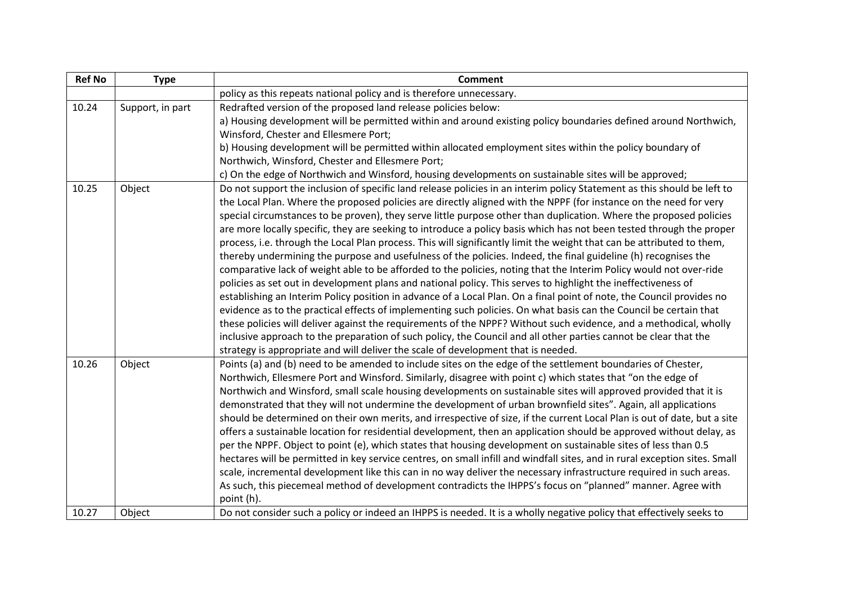| <b>Ref No</b> | <b>Type</b>      | <b>Comment</b>                                                                                                             |
|---------------|------------------|----------------------------------------------------------------------------------------------------------------------------|
|               |                  | policy as this repeats national policy and is therefore unnecessary.                                                       |
| 10.24         | Support, in part | Redrafted version of the proposed land release policies below:                                                             |
|               |                  | a) Housing development will be permitted within and around existing policy boundaries defined around Northwich,            |
|               |                  | Winsford, Chester and Ellesmere Port;                                                                                      |
|               |                  | b) Housing development will be permitted within allocated employment sites within the policy boundary of                   |
|               |                  | Northwich, Winsford, Chester and Ellesmere Port;                                                                           |
|               |                  | c) On the edge of Northwich and Winsford, housing developments on sustainable sites will be approved;                      |
| 10.25         | Object           | Do not support the inclusion of specific land release policies in an interim policy Statement as this should be left to    |
|               |                  | the Local Plan. Where the proposed policies are directly aligned with the NPPF (for instance on the need for very          |
|               |                  | special circumstances to be proven), they serve little purpose other than duplication. Where the proposed policies         |
|               |                  | are more locally specific, they are seeking to introduce a policy basis which has not been tested through the proper       |
|               |                  | process, i.e. through the Local Plan process. This will significantly limit the weight that can be attributed to them,     |
|               |                  | thereby undermining the purpose and usefulness of the policies. Indeed, the final guideline (h) recognises the             |
|               |                  | comparative lack of weight able to be afforded to the policies, noting that the Interim Policy would not over-ride         |
|               |                  | policies as set out in development plans and national policy. This serves to highlight the ineffectiveness of              |
|               |                  | establishing an Interim Policy position in advance of a Local Plan. On a final point of note, the Council provides no      |
|               |                  | evidence as to the practical effects of implementing such policies. On what basis can the Council be certain that          |
|               |                  | these policies will deliver against the requirements of the NPPF? Without such evidence, and a methodical, wholly          |
|               |                  | inclusive approach to the preparation of such policy, the Council and all other parties cannot be clear that the           |
|               |                  | strategy is appropriate and will deliver the scale of development that is needed.                                          |
| 10.26         | Object           | Points (a) and (b) need to be amended to include sites on the edge of the settlement boundaries of Chester,                |
|               |                  | Northwich, Ellesmere Port and Winsford. Similarly, disagree with point c) which states that "on the edge of                |
|               |                  | Northwich and Winsford, small scale housing developments on sustainable sites will approved provided that it is            |
|               |                  | demonstrated that they will not undermine the development of urban brownfield sites". Again, all applications              |
|               |                  | should be determined on their own merits, and irrespective of size, if the current Local Plan is out of date, but a site   |
|               |                  | offers a sustainable location for residential development, then an application should be approved without delay, as        |
|               |                  | per the NPPF. Object to point (e), which states that housing development on sustainable sites of less than 0.5             |
|               |                  | hectares will be permitted in key service centres, on small infill and windfall sites, and in rural exception sites. Small |
|               |                  | scale, incremental development like this can in no way deliver the necessary infrastructure required in such areas.        |
|               |                  | As such, this piecemeal method of development contradicts the IHPPS's focus on "planned" manner. Agree with                |
|               |                  | point (h).                                                                                                                 |
| 10.27         | Object           | Do not consider such a policy or indeed an IHPPS is needed. It is a wholly negative policy that effectively seeks to       |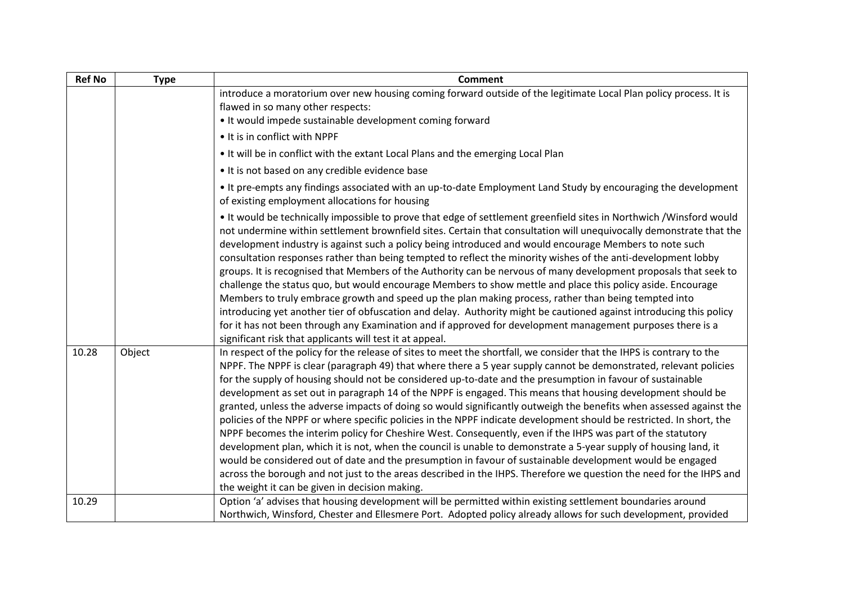| <b>Ref No</b> | <b>Type</b> | <b>Comment</b>                                                                                                                                                                                                                                                                                                                                                                                                                                                                                                                                                                                                                                                                                                                                                                                                                                                                                                                                                                                                                                                                                                                                                                                                                                   |
|---------------|-------------|--------------------------------------------------------------------------------------------------------------------------------------------------------------------------------------------------------------------------------------------------------------------------------------------------------------------------------------------------------------------------------------------------------------------------------------------------------------------------------------------------------------------------------------------------------------------------------------------------------------------------------------------------------------------------------------------------------------------------------------------------------------------------------------------------------------------------------------------------------------------------------------------------------------------------------------------------------------------------------------------------------------------------------------------------------------------------------------------------------------------------------------------------------------------------------------------------------------------------------------------------|
|               |             | introduce a moratorium over new housing coming forward outside of the legitimate Local Plan policy process. It is<br>flawed in so many other respects:                                                                                                                                                                                                                                                                                                                                                                                                                                                                                                                                                                                                                                                                                                                                                                                                                                                                                                                                                                                                                                                                                           |
|               |             | • It would impede sustainable development coming forward                                                                                                                                                                                                                                                                                                                                                                                                                                                                                                                                                                                                                                                                                                                                                                                                                                                                                                                                                                                                                                                                                                                                                                                         |
|               |             | • It is in conflict with NPPF                                                                                                                                                                                                                                                                                                                                                                                                                                                                                                                                                                                                                                                                                                                                                                                                                                                                                                                                                                                                                                                                                                                                                                                                                    |
|               |             | . It will be in conflict with the extant Local Plans and the emerging Local Plan                                                                                                                                                                                                                                                                                                                                                                                                                                                                                                                                                                                                                                                                                                                                                                                                                                                                                                                                                                                                                                                                                                                                                                 |
|               |             | • It is not based on any credible evidence base                                                                                                                                                                                                                                                                                                                                                                                                                                                                                                                                                                                                                                                                                                                                                                                                                                                                                                                                                                                                                                                                                                                                                                                                  |
|               |             | . It pre-empts any findings associated with an up-to-date Employment Land Study by encouraging the development<br>of existing employment allocations for housing                                                                                                                                                                                                                                                                                                                                                                                                                                                                                                                                                                                                                                                                                                                                                                                                                                                                                                                                                                                                                                                                                 |
|               |             | • It would be technically impossible to prove that edge of settlement greenfield sites in Northwich /Winsford would<br>not undermine within settlement brownfield sites. Certain that consultation will unequivocally demonstrate that the<br>development industry is against such a policy being introduced and would encourage Members to note such<br>consultation responses rather than being tempted to reflect the minority wishes of the anti-development lobby<br>groups. It is recognised that Members of the Authority can be nervous of many development proposals that seek to<br>challenge the status quo, but would encourage Members to show mettle and place this policy aside. Encourage<br>Members to truly embrace growth and speed up the plan making process, rather than being tempted into<br>introducing yet another tier of obfuscation and delay. Authority might be cautioned against introducing this policy<br>for it has not been through any Examination and if approved for development management purposes there is a<br>significant risk that applicants will test it at appeal.                                                                                                                               |
| 10.28         | Object      | In respect of the policy for the release of sites to meet the shortfall, we consider that the IHPS is contrary to the<br>NPPF. The NPPF is clear (paragraph 49) that where there a 5 year supply cannot be demonstrated, relevant policies<br>for the supply of housing should not be considered up-to-date and the presumption in favour of sustainable<br>development as set out in paragraph 14 of the NPPF is engaged. This means that housing development should be<br>granted, unless the adverse impacts of doing so would significantly outweigh the benefits when assessed against the<br>policies of the NPPF or where specific policies in the NPPF indicate development should be restricted. In short, the<br>NPPF becomes the interim policy for Cheshire West. Consequently, even if the IHPS was part of the statutory<br>development plan, which it is not, when the council is unable to demonstrate a 5-year supply of housing land, it<br>would be considered out of date and the presumption in favour of sustainable development would be engaged<br>across the borough and not just to the areas described in the IHPS. Therefore we question the need for the IHPS and<br>the weight it can be given in decision making. |
| 10.29         |             | Option 'a' advises that housing development will be permitted within existing settlement boundaries around<br>Northwich, Winsford, Chester and Ellesmere Port. Adopted policy already allows for such development, provided                                                                                                                                                                                                                                                                                                                                                                                                                                                                                                                                                                                                                                                                                                                                                                                                                                                                                                                                                                                                                      |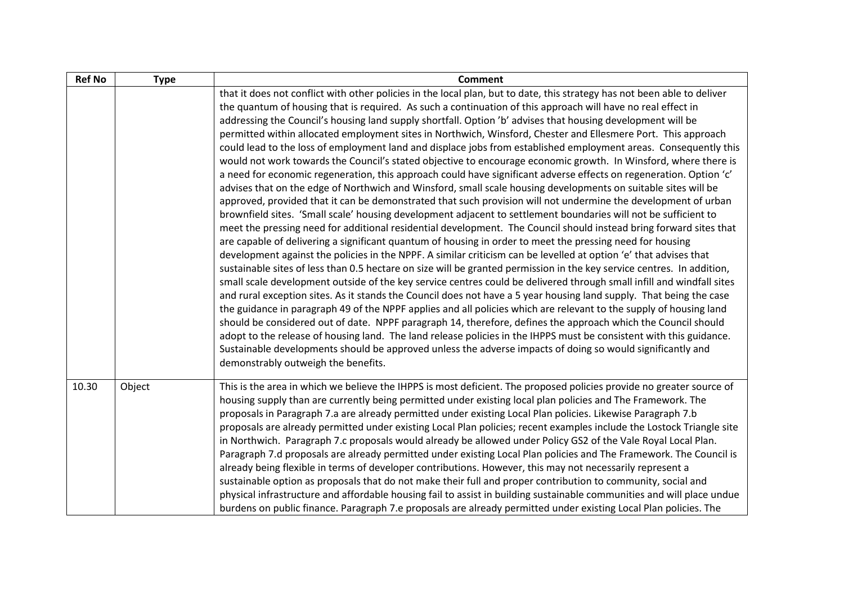| <b>Ref No</b> | <b>Type</b> | <b>Comment</b>                                                                                                                                                                                                                                                                                                                                                                                                                                                                                                                                                                                                                                                                                                                                                                                                                                                                                                                                                                                                                                                                                                                                                                                                                                                                                                                                                                                                                                                                                                                                                                                                                                                                                                                                                                                                                                                                                                                                                                                                                                                                                                                                                                                                                                                                                                                                                                                                                                    |
|---------------|-------------|---------------------------------------------------------------------------------------------------------------------------------------------------------------------------------------------------------------------------------------------------------------------------------------------------------------------------------------------------------------------------------------------------------------------------------------------------------------------------------------------------------------------------------------------------------------------------------------------------------------------------------------------------------------------------------------------------------------------------------------------------------------------------------------------------------------------------------------------------------------------------------------------------------------------------------------------------------------------------------------------------------------------------------------------------------------------------------------------------------------------------------------------------------------------------------------------------------------------------------------------------------------------------------------------------------------------------------------------------------------------------------------------------------------------------------------------------------------------------------------------------------------------------------------------------------------------------------------------------------------------------------------------------------------------------------------------------------------------------------------------------------------------------------------------------------------------------------------------------------------------------------------------------------------------------------------------------------------------------------------------------------------------------------------------------------------------------------------------------------------------------------------------------------------------------------------------------------------------------------------------------------------------------------------------------------------------------------------------------------------------------------------------------------------------------------------------------|
|               |             | that it does not conflict with other policies in the local plan, but to date, this strategy has not been able to deliver<br>the quantum of housing that is required. As such a continuation of this approach will have no real effect in<br>addressing the Council's housing land supply shortfall. Option 'b' advises that housing development will be<br>permitted within allocated employment sites in Northwich, Winsford, Chester and Ellesmere Port. This approach<br>could lead to the loss of employment land and displace jobs from established employment areas. Consequently this<br>would not work towards the Council's stated objective to encourage economic growth. In Winsford, where there is<br>a need for economic regeneration, this approach could have significant adverse effects on regeneration. Option 'c'<br>advises that on the edge of Northwich and Winsford, small scale housing developments on suitable sites will be<br>approved, provided that it can be demonstrated that such provision will not undermine the development of urban<br>brownfield sites. 'Small scale' housing development adjacent to settlement boundaries will not be sufficient to<br>meet the pressing need for additional residential development. The Council should instead bring forward sites that<br>are capable of delivering a significant quantum of housing in order to meet the pressing need for housing<br>development against the policies in the NPPF. A similar criticism can be levelled at option 'e' that advises that<br>sustainable sites of less than 0.5 hectare on size will be granted permission in the key service centres. In addition,<br>small scale development outside of the key service centres could be delivered through small infill and windfall sites<br>and rural exception sites. As it stands the Council does not have a 5 year housing land supply. That being the case<br>the guidance in paragraph 49 of the NPPF applies and all policies which are relevant to the supply of housing land<br>should be considered out of date. NPPF paragraph 14, therefore, defines the approach which the Council should<br>adopt to the release of housing land. The land release policies in the IHPPS must be consistent with this guidance.<br>Sustainable developments should be approved unless the adverse impacts of doing so would significantly and<br>demonstrably outweigh the benefits. |
| 10.30         | Object      | This is the area in which we believe the IHPPS is most deficient. The proposed policies provide no greater source of<br>housing supply than are currently being permitted under existing local plan policies and The Framework. The<br>proposals in Paragraph 7.a are already permitted under existing Local Plan policies. Likewise Paragraph 7.b<br>proposals are already permitted under existing Local Plan policies; recent examples include the Lostock Triangle site<br>in Northwich. Paragraph 7.c proposals would already be allowed under Policy GS2 of the Vale Royal Local Plan.<br>Paragraph 7.d proposals are already permitted under existing Local Plan policies and The Framework. The Council is<br>already being flexible in terms of developer contributions. However, this may not necessarily represent a<br>sustainable option as proposals that do not make their full and proper contribution to community, social and<br>physical infrastructure and affordable housing fail to assist in building sustainable communities and will place undue<br>burdens on public finance. Paragraph 7.e proposals are already permitted under existing Local Plan policies. The                                                                                                                                                                                                                                                                                                                                                                                                                                                                                                                                                                                                                                                                                                                                                                                                                                                                                                                                                                                                                                                                                                                                                                                                                                                     |